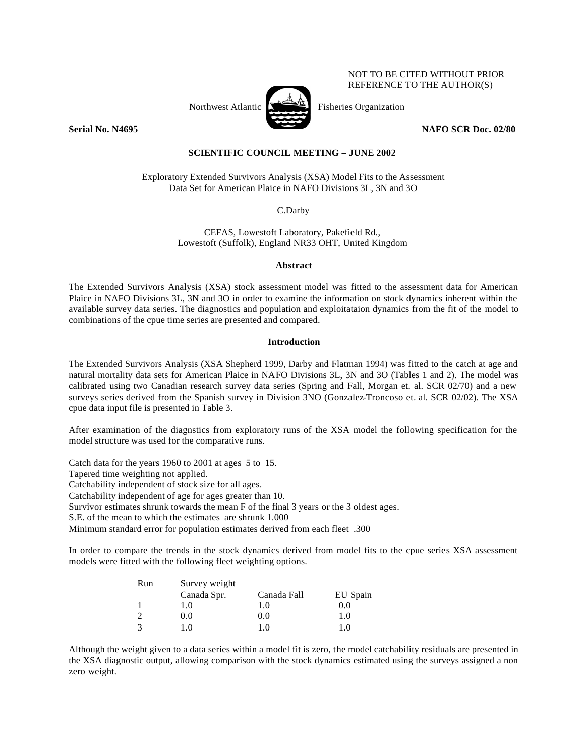## NOT TO BE CITED WITHOUT PRIOR REFERENCE TO THE AUTHOR(S)



Northwest Atlantic  $\sum_{n=1}^{\infty}$  Fisheries Organization

**Serial No. N4695** NAFO SCR Doc. 02/80

# **SCIENTIFIC COUNCIL MEETING – JUNE 2002**

Exploratory Extended Survivors Analysis (XSA) Model Fits to the Assessment Data Set for American Plaice in NAFO Divisions 3L, 3N and 3O

C.Darby

CEFAS, Lowestoft Laboratory, Pakefield Rd., Lowestoft (Suffolk), England NR33 OHT, United Kingdom

### **Abstract**

The Extended Survivors Analysis (XSA) stock assessment model was fitted to the assessment data for American Plaice in NAFO Divisions 3L, 3N and 3O in order to examine the information on stock dynamics inherent within the available survey data series. The diagnostics and population and exploitataion dynamics from the fit of the model to combinations of the cpue time series are presented and compared.

## **Introduction**

The Extended Survivors Analysis (XSA Shepherd 1999, Darby and Flatman 1994) was fitted to the catch at age and natural mortality data sets for American Plaice in NAFO Divisions 3L, 3N and 3O (Tables 1 and 2). The model was calibrated using two Canadian research survey data series (Spring and Fall, Morgan et. al. SCR 02/70) and a new surveys series derived from the Spanish survey in Division 3NO (Gonzalez-Troncoso et. al. SCR 02/02). The XSA cpue data input file is presented in Table 3.

After examination of the diagnstics from exploratory runs of the XSA model the following specification for the model structure was used for the comparative runs.

Catch data for the years 1960 to 2001 at ages 5 to 15.

Tapered time weighting not applied.

Catchability independent of stock size for all ages.

Catchability independent of age for ages greater than 10.

Survivor estimates shrunk towards the mean F of the final 3 years or the 3 oldest ages.

S.E. of the mean to which the estimates are shrunk 1.000

Minimum standard error for population estimates derived from each fleet .300

In order to compare the trends in the stock dynamics derived from model fits to the cpue series XSA assessment models were fitted with the following fleet weighting options.

| Run | Survey weight |             |          |  |  |  |  |  |  |  |  |
|-----|---------------|-------------|----------|--|--|--|--|--|--|--|--|
|     | Canada Spr.   | Canada Fall | EU Spain |  |  |  |  |  |  |  |  |
|     | 1.0           | 1.0         | 0.0      |  |  |  |  |  |  |  |  |
|     | 0.0           | 0.0         | 1.0      |  |  |  |  |  |  |  |  |
|     | 1.0           | 1.0         | 1.0      |  |  |  |  |  |  |  |  |

Although the weight given to a data series within a model fit is zero, the model catchability residuals are presented in the XSA diagnostic output, allowing comparison with the stock dynamics estimated using the surveys assigned a non zero weight.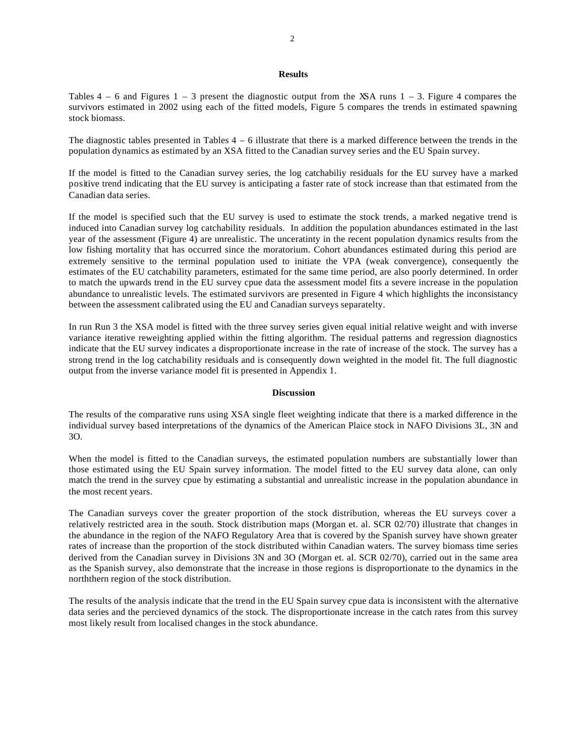## **Results**

Tables  $4 - 6$  and Figures  $1 - 3$  present the diagnostic output from the XSA runs  $1 - 3$ . Figure 4 compares the survivors estimated in 2002 using each of the fitted models, Figure 5 compares the trends in estimated spawning stock biomass.

The diagnostic tables presented in Tables  $4 - 6$  illustrate that there is a marked difference between the trends in the population dynamics as estimated by an XSA fitted to the Canadian survey series and the EU Spain survey.

If the model is fitted to the Canadian survey series, the log catchabiliy residuals for the EU survey have a marked positive trend indicating that the EU survey is anticipating a faster rate of stock increase than that estimated from the Canadian data series.

If the model is specified such that the EU survey is used to estimate the stock trends, a marked negative trend is induced into Canadian survey log catchability residuals. In addition the population abundances estimated in the last year of the assessment (Figure 4) are unrealistic. The unceratinty in the recent population dynamics results from the low fishing mortality that has occurred since the moratorium. Cohort abundances estimated during this period are extremely sensitive to the terminal population used to initiate the VPA (weak convergence), consequently the estimates of the EU catchability parameters, estimated for the same time period, are also poorly determined. In order to match the upwards trend in the EU survey cpue data the assessment model fits a severe increase in the population abundance to unrealistic levels. The estimated survivors are presented in Figure 4 which highlights the inconsistancy between the assessment calibrated using the EU and Canadian surveys separatelty.

In run Run 3 the XSA model is fitted with the three survey series given equal initial relative weight and with inverse variance iterative reweighting applied within the fitting algorithm. The residual patterns and regression diagnostics indicate that the EU survey indicates a disproportionate increase in the rate of increase of the stock. The survey has a strong trend in the log catchability residuals and is consequently down weighted in the model fit. The full diagnostic output from the inverse variance model fit is presented in Appendix 1.

#### **Discussion**

The results of the comparative runs using XSA single fleet weighting indicate that there is a marked difference in the individual survey based interpretations of the dynamics of the American Plaice stock in NAFO Divisions 3L, 3N and 3O.

When the model is fitted to the Canadian surveys, the estimated population numbers are substantially lower than those estimated using the EU Spain survey information. The model fitted to the EU survey data alone, can only match the trend in the survey cpue by estimating a substantial and unrealistic increase in the population abundance in the most recent years.

The Canadian surveys cover the greater proportion of the stock distribution, whereas the EU surveys cover a relatively restricted area in the south. Stock distribution maps (Morgan et. al. SCR 02/70) illustrate that changes in the abundance in the region of the NAFO Regulatory Area that is covered by the Spanish survey have shown greater rates of increase than the proportion of the stock distributed within Canadian waters. The survey biomass time series derived from the Canadian survey in Divisions 3N and 3O (Morgan et. al. SCR 02/70), carried out in the same area as the Spanish survey, also demonstrate that the increase in those regions is disproportionate to the dynamics in the norththern region of the stock distribution.

The results of the analysis indicate that the trend in the EU Spain survey cpue data is inconsistent with the alternative data series and the percieved dynamics of the stock. The disproportionate increase in the catch rates from this survey most likely result from localised changes in the stock abundance.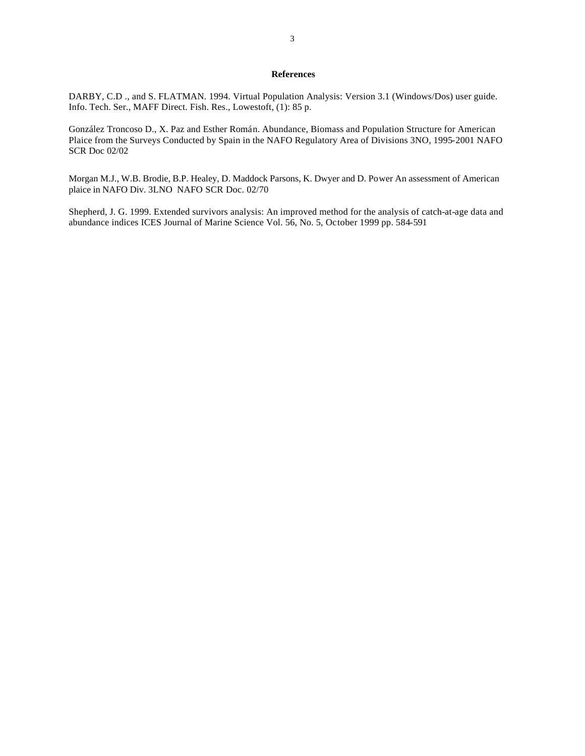## **References**

DARBY, C.D ., and S. FLATMAN. 1994. Virtual Population Analysis: Version 3.1 (Windows/Dos) user guide. Info. Tech. Ser., MAFF Direct. Fish. Res., Lowestoft, (1): 85 p.

González Troncoso D., X. Paz and Esther Román. Abundance, Biomass and Population Structure for American Plaice from the Surveys Conducted by Spain in the NAFO Regulatory Area of Divisions 3NO, 1995-2001 NAFO SCR Doc 02/02

Morgan M.J., W.B. Brodie, B.P. Healey, D. Maddock Parsons, K. Dwyer and D. Power An assessment of American plaice in NAFO Div. 3LNO NAFO SCR Doc. 02/70

Shepherd, J. G. 1999. Extended survivors analysis: An improved method for the analysis of catch-at-age data and abundance indices ICES Journal of Marine Science Vol. 56, No. 5, October 1999 pp. 584-591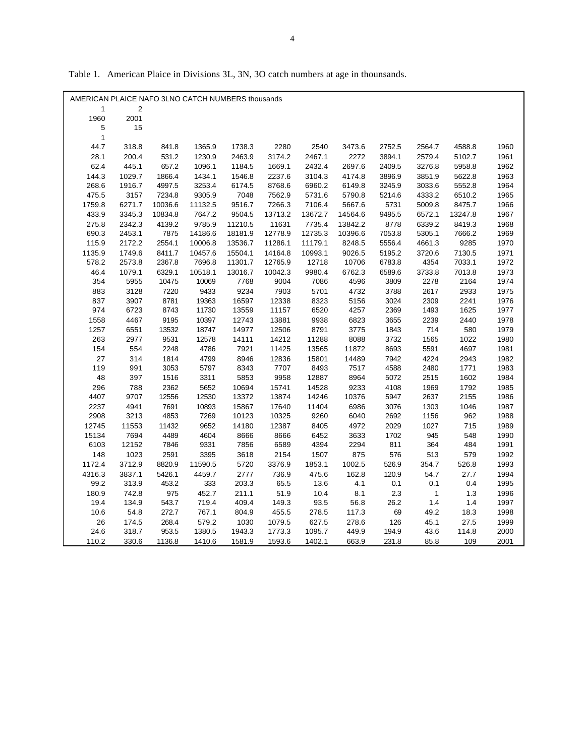| AMERICAN PLAICE NAFO 3LNO CATCH NUMBERS thousands |        |         |         |         |         |         |         |         |              |         |      |
|---------------------------------------------------|--------|---------|---------|---------|---------|---------|---------|---------|--------------|---------|------|
| 1                                                 | 2      |         |         |         |         |         |         |         |              |         |      |
| 1960                                              | 2001   |         |         |         |         |         |         |         |              |         |      |
| 5<br>$\mathbf{1}$                                 | 15     |         |         |         |         |         |         |         |              |         |      |
| 44.7                                              | 318.8  | 841.8   | 1365.9  | 1738.3  | 2280    | 2540    | 3473.6  | 2752.5  | 2564.7       | 4588.8  | 1960 |
| 28.1                                              | 200.4  | 531.2   | 1230.9  | 2463.9  | 3174.2  | 2467.1  | 2272    | 3894.1  | 2579.4       | 5102.7  | 1961 |
| 62.4                                              | 445.1  | 657.2   | 1096.1  | 1184.5  | 1669.1  | 2432.4  | 2697.6  | 2409.5  | 3276.8       | 5958.8  | 1962 |
| 144.3                                             | 1029.7 | 1866.4  | 1434.1  | 1546.8  | 2237.6  | 3104.3  | 4174.8  | 3896.9  | 3851.9       | 5622.8  | 1963 |
| 268.6                                             | 1916.7 | 4997.5  | 3253.4  | 6174.5  | 8768.6  | 6960.2  | 6149.8  | 3245.9  | 3033.6       | 5552.8  | 1964 |
| 475.5                                             | 3157   | 7234.8  | 9305.9  | 7048    | 7562.9  | 5731.6  | 5790.8  | 5214.6  | 4333.2       | 6510.2  | 1965 |
| 1759.8                                            | 6271.7 | 10036.6 | 11132.5 | 9516.7  | 7266.3  | 7106.4  | 5667.6  | 5731    | 5009.8       | 8475.7  | 1966 |
| 433.9                                             | 3345.3 | 10834.8 | 7647.2  | 9504.5  | 13713.2 | 13672.7 | 14564.6 | 9495.5  | 6572.1       | 13247.8 | 1967 |
| 275.8                                             | 2342.3 | 4139.2  | 9785.9  | 11210.5 | 11631   | 7735.4  | 13842.2 | 8778    | 6339.2       | 8419.3  | 1968 |
| 690.3                                             | 2453.1 | 7875    | 14186.6 | 18181.9 | 12778.9 | 12735.3 | 10396.6 | 7053.8  | 5305.1       | 7666.2  | 1969 |
| 115.9                                             | 2172.2 | 2554.1  | 10006.8 | 13536.7 | 11286.1 | 11179.1 | 8248.5  | 5556.4  | 4661.3       | 9285    | 1970 |
| 1135.9                                            | 1749.6 | 8411.7  | 10457.6 | 15504.1 | 14164.8 | 10993.1 | 9026.5  | 5195.2  | 3720.6       | 7130.5  | 1971 |
| 578.2                                             | 2573.8 | 2367.8  | 7696.8  | 11301.7 | 12765.9 | 12718   | 10706   | 6783.8  | 4354         | 7033.1  | 1972 |
| 46.4                                              | 1079.1 | 6329.1  | 10518.1 | 13016.7 | 10042.3 | 9980.4  | 6762.3  | 6589.6  | 3733.8       | 7013.8  | 1973 |
| 354                                               | 5955   | 10475   | 10069   | 7768    | 9004    | 7086    | 4596    | 3809    | 2278         | 2164    | 1974 |
| 883                                               | 3128   | 7220    | 9433    | 9234    | 7903    | 5701    | 4732    | 3788    | 2617         | 2933    | 1975 |
| 837                                               | 3907   | 8781    | 19363   | 16597   | 12338   | 8323    | 5156    | 3024    | 2309         | 2241    | 1976 |
| 974                                               | 6723   | 8743    | 11730   | 13559   | 11157   | 6520    | 4257    | 2369    | 1493         | 1625    | 1977 |
| 1558                                              | 4467   | 9195    | 10397   | 12743   | 13881   | 9938    | 6823    | 3655    | 2239         | 2440    | 1978 |
| 1257                                              | 6551   | 13532   | 18747   | 14977   | 12506   | 8791    | 3775    | 1843    | 714          | 580     | 1979 |
| 263                                               | 2977   | 9531    | 12578   | 14111   | 14212   | 11288   | 8088    | 3732    | 1565         | 1022    | 1980 |
| 154                                               | 554    | 2248    | 4786    | 7921    | 11425   | 13565   | 11872   | 8693    | 5591         | 4697    | 1981 |
| 27                                                | 314    | 1814    | 4799    | 8946    | 12836   | 15801   | 14489   | 7942    | 4224         | 2943    | 1982 |
| 119                                               | 991    | 3053    | 5797    | 8343    | 7707    | 8493    | 7517    | 4588    | 2480         | 1771    | 1983 |
| 48                                                | 397    | 1516    | 3311    | 5853    | 9958    | 12887   | 8964    | 5072    | 2515         | 1602    | 1984 |
| 296                                               | 788    | 2362    | 5652    | 10694   | 15741   | 14528   | 9233    | 4108    | 1969         | 1792    | 1985 |
| 4407                                              | 9707   | 12556   | 12530   | 13372   | 13874   | 14246   | 10376   | 5947    | 2637         | 2155    | 1986 |
| 2237                                              | 4941   | 7691    | 10893   | 15867   | 17640   | 11404   | 6986    | 3076    | 1303         | 1046    | 1987 |
| 2908                                              | 3213   | 4853    | 7269    | 10123   | 10325   | 9260    | 6040    | 2692    | 1156         | 962     | 1988 |
| 12745                                             | 11553  | 11432   | 9652    | 14180   | 12387   | 8405    | 4972    | 2029    | 1027         | 715     | 1989 |
| 15134                                             | 7694   | 4489    | 4604    | 8666    | 8666    | 6452    | 3633    | 1702    | 945          | 548     | 1990 |
| 6103                                              | 12152  | 7846    | 9331    | 7856    | 6589    | 4394    | 2294    | 811     | 364          | 484     | 1991 |
| 148                                               | 1023   | 2591    | 3395    | 3618    | 2154    | 1507    | 875     | 576     | 513          | 579     | 1992 |
| 1172.4                                            | 3712.9 | 8820.9  | 11590.5 | 5720    | 3376.9  | 1853.1  | 1002.5  | 526.9   | 354.7        | 526.8   | 1993 |
| 4316.3                                            | 3837.1 | 5426.1  | 4459.7  | 2777    | 736.9   | 475.6   | 162.8   | 120.9   | 54.7         | 27.7    | 1994 |
| 99.2                                              | 313.9  | 453.2   | 333     | 203.3   | 65.5    | 13.6    | 4.1     | 0.1     | 0.1          | 0.4     | 1995 |
| 180.9                                             | 742.8  | 975     | 452.7   | 211.1   | 51.9    | 10.4    | 8.1     | $2.3\,$ | $\mathbf{1}$ | 1.3     | 1996 |
| 19.4                                              | 134.9  | 543.7   | 719.4   | 409.4   | 149.3   | 93.5    | 56.8    | 26.2    | 1.4          | 1.4     | 1997 |
| 10.6                                              | 54.8   | 272.7   | 767.1   | 804.9   | 455.5   | 278.5   | 117.3   | 69      | 49.2         | 18.3    | 1998 |
| 26                                                | 174.5  | 268.4   | 579.2   | 1030    | 1079.5  | 627.5   | 278.6   | 126     | 45.1         | 27.5    | 1999 |
| 24.6                                              | 318.7  | 953.5   | 1380.5  | 1943.3  | 1773.3  | 1095.7  | 449.9   | 194.9   | 43.6         | 114.8   | 2000 |
| 110.2                                             | 330.6  | 1136.8  | 1410.6  | 1581.9  | 1593.6  | 1402.1  | 663.9   | 231.8   | 85.8         | 109     | 2001 |

Table 1. American Plaice in Divisions 3L, 3N, 3O catch numbers at age in thounsands.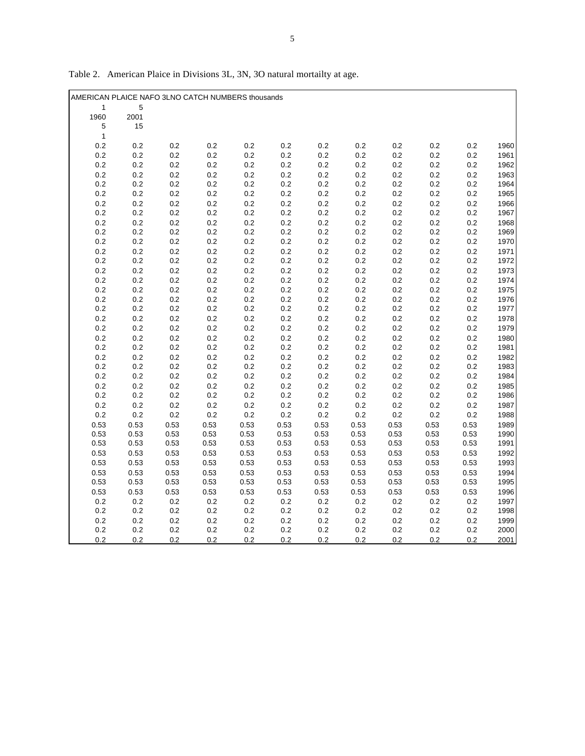| AMERICAN PLAICE NAFO 3LNO CATCH NUMBERS thousands |                    |                    |                |                    |                |            |            |            |                |            |              |
|---------------------------------------------------|--------------------|--------------------|----------------|--------------------|----------------|------------|------------|------------|----------------|------------|--------------|
| 1                                                 | 5                  |                    |                |                    |                |            |            |            |                |            |              |
| 1960                                              | 2001               |                    |                |                    |                |            |            |            |                |            |              |
| 5                                                 | 15                 |                    |                |                    |                |            |            |            |                |            |              |
| $\mathbf{1}$                                      |                    |                    |                |                    |                |            |            |            |                |            |              |
| 0.2                                               | 0.2                | 0.2                | $0.2\,$        | 0.2                | 0.2            | 0.2        | 0.2        | 0.2        | 0.2            | 0.2        | 1960         |
| 0.2                                               | 0.2                | 0.2                | $0.2\,$        | $0.2\,$            | $0.2\,$        | 0.2        | 0.2        | 0.2        | 0.2            | 0.2        | 1961         |
| 0.2                                               | $0.2\,$            | $0.2\,$            | $0.2\,$        | $0.2\,$            | $0.2\,$        | 0.2        | 0.2        | 0.2        | 0.2            | 0.2        | 1962         |
| 0.2                                               | 0.2                | $0.2\,$            | 0.2            | 0.2                | 0.2            | 0.2        | 0.2        | 0.2        | 0.2            | 0.2        | 1963         |
| $0.2\,$                                           | 0.2                | $0.2\,$            | $0.2\,$        | $0.2\,$            | 0.2            | 0.2        | $0.2\,$    | 0.2        | $0.2\,$        | 0.2        | 1964         |
| 0.2                                               | 0.2                | $0.2\,$            | $0.2\,$        | 0.2                | 0.2            | 0.2        | 0.2        | 0.2        | 0.2            | 0.2        | 1965         |
| $0.2\,$                                           | 0.2                | $0.2\,$            | $0.2\,$        | $0.2\,$            | $0.2\,$        | 0.2        | 0.2        | 0.2        | 0.2            | 0.2        | 1966         |
| 0.2                                               | $0.2\,$            | $0.2\,$            | $0.2\,$        | $0.2\,$            | $0.2\,$        | 0.2        | 0.2        | 0.2        | 0.2            | $0.2\,$    | 1967         |
| 0.2                                               | 0.2                | $0.2\,$            | $0.2\,$        | 0.2                | 0.2            | 0.2        | 0.2        | 0.2        | 0.2            | 0.2        | 1968         |
| 0.2                                               | $0.2\,$            | $0.2\,$            | $0.2\,$        | $0.2\,$            | $0.2\,$        | $0.2\,$    | 0.2        | 0.2        | $0.2\,$        | $0.2\,$    | 1969         |
| 0.2                                               | $0.2\,$            | $0.2\,$            | $0.2\,$        | $0.2\,$            | $0.2\,$        | 0.2        | 0.2        | 0.2        | 0.2            | 0.2        | 1970         |
| $0.2\,$                                           | 0.2                | $0.2\,$            | $0.2\,$<br>0.2 | 0.2                | 0.2            | 0.2        | 0.2        | 0.2        | 0.2            | 0.2        | 1971         |
| 0.2<br>$0.2\,$                                    | $0.2\,$<br>$0.2\,$ | $0.2\,$<br>$0.2\,$ | $0.2\,$        | $0.2\,$<br>$0.2\,$ | $0.2\,$<br>0.2 | 0.2<br>0.2 | 0.2<br>0.2 | 0.2<br>0.2 | $0.2\,$<br>0.2 | 0.2<br>0.2 | 1972<br>1973 |
| $0.2\,$                                           | $0.2\,$            | $0.2\,$            | 0.2            | 0.2                | 0.2            | $0.2\,$    | 0.2        | 0.2        | 0.2            | 0.2        | 1974         |
| 0.2                                               | 0.2                | 0.2                | $0.2\,$        | $0.2\,$            | $0.2\,$        | 0.2        | 0.2        | 0.2        | 0.2            | 0.2        | 1975         |
| 0.2                                               | $0.2\,$            | $0.2\,$            | $0.2\,$        | $0.2\,$            | 0.2            | 0.2        | 0.2        | 0.2        | 0.2            | 0.2        | 1976         |
| 0.2                                               | 0.2                | 0.2                | 0.2            | 0.2                | $0.2\,$        | 0.2        | 0.2        | 0.2        | 0.2            | 0.2        | 1977         |
| $0.2\,$                                           | 0.2                | $0.2\,$            | 0.2            | 0.2                | 0.2            | 0.2        | 0.2        | 0.2        | 0.2            | 0.2        | 1978         |
| $0.2\,$                                           | 0.2                | $0.2\,$            | 0.2            | 0.2                | 0.2            | 0.2        | 0.2        | 0.2        | 0.2            | 0.2        | 1979         |
| $0.2\,$                                           | 0.2                | $0.2\,$            | $0.2\,$        | $0.2\,$            | 0.2            | 0.2        | 0.2        | 0.2        | 0.2            | 0.2        | 1980         |
| 0.2                                               | $0.2\,$            | $0.2\,$            | $0.2\,$        | $0.2\,$            | 0.2            | 0.2        | 0.2        | 0.2        | 0.2            | 0.2        | 1981         |
| $0.2\,$                                           | 0.2                | $0.2\,$            | $0.2\,$        | $0.2\,$            | $0.2\,$        | $0.2\,$    | 0.2        | 0.2        | 0.2            | 0.2        | 1982         |
| $0.2\,$                                           | $0.2\,$            | $0.2\,$            | $0.2\,$        | 0.2                | 0.2            | $0.2\,$    | $0.2\,$    | $0.2\,$    | 0.2            | 0.2        | 1983         |
| $0.2\,$                                           | 0.2                | $0.2\,$            | $0.2\,$        | $0.2\,$            | $0.2\,$        | 0.2        | 0.2        | 0.2        | 0.2            | 0.2        | 1984         |
| 0.2                                               | 0.2                | 0.2                | 0.2            | 0.2                | 0.2            | 0.2        | 0.2        | 0.2        | 0.2            | 0.2        | 1985         |
| 0.2                                               | 0.2                | $0.2\,$            | $0.2\,$        | $0.2\,$            | $0.2\,$        | 0.2        | 0.2        | 0.2        | 0.2            | 0.2        | 1986         |
| 0.2                                               | $0.2\,$            | $0.2\,$            | $0.2\,$        | $0.2\,$            | $0.2\,$        | 0.2        | 0.2        | 0.2        | 0.2            | 0.2        | 1987         |
| 0.2                                               | $0.2\,$            | $0.2\,$            | 0.2            | 0.2                | $0.2\,$        | 0.2        | 0.2        | 0.2        | $0.2\,$        | 0.2        | 1988         |
| 0.53                                              | 0.53               | 0.53               | 0.53           | 0.53               | 0.53           | 0.53       | 0.53       | 0.53       | 0.53           | 0.53       | 1989         |
| 0.53                                              | 0.53               | 0.53               | 0.53           | 0.53               | 0.53           | 0.53       | 0.53       | 0.53       | 0.53           | 0.53       | 1990         |
| 0.53                                              | 0.53               | 0.53               | 0.53           | 0.53               | 0.53           | 0.53       | 0.53       | 0.53       | 0.53           | 0.53       | 1991         |
| 0.53                                              | 0.53               | 0.53               | 0.53           | 0.53               | 0.53           | 0.53       | 0.53       | 0.53       | 0.53           | 0.53       | 1992         |
| 0.53                                              | 0.53               | 0.53               | 0.53           | 0.53               | 0.53           | 0.53       | 0.53       | 0.53       | 0.53           | 0.53       | 1993         |
| 0.53                                              | 0.53               | 0.53               | 0.53           | 0.53               | 0.53           | 0.53       | 0.53       | 0.53       | 0.53           | 0.53       | 1994         |
| 0.53                                              | 0.53               | 0.53               | 0.53           | 0.53               | 0.53           | 0.53       | 0.53       | 0.53       | 0.53           | 0.53       | 1995         |
| 0.53                                              | 0.53               | 0.53               | 0.53           | 0.53               | 0.53           | 0.53       | 0.53       | 0.53       | 0.53           | 0.53       | 1996         |
| 0.2                                               | 0.2                | $0.2\,$            | 0.2            | 0.2                | $0.2\,$        | 0.2        | 0.2        | 0.2        | 0.2            | 0.2        | 1997         |
| $0.2\,$                                           | 0.2                | $0.2\,$            | $0.2\,$        | 0.2                | $0.2\,$        | $0.2\,$    | $0.2\,$    | 0.2        | $0.2\,$        | $0.2\,$    | 1998         |
| 0.2                                               | 0.2                | 0.2                | 0.2            | 0.2                | 0.2            | 0.2        | 0.2        | 0.2        | 0.2            | 0.2        | 1999         |
| 0.2                                               | 0.2                | 0.2                | 0.2            | 0.2                | 0.2            | 0.2        | 0.2        | 0.2        | 0.2            | 0.2        | 2000         |
| 0.2                                               | 0.2                | 0.2                | 0.2            | 0.2                | 0.2            | 0.2        | 0.2        | 0.2        | 0.2            | 0.2        | 2001         |

Table 2. American Plaice in Divisions 3L, 3N, 3O natural mortailty at age.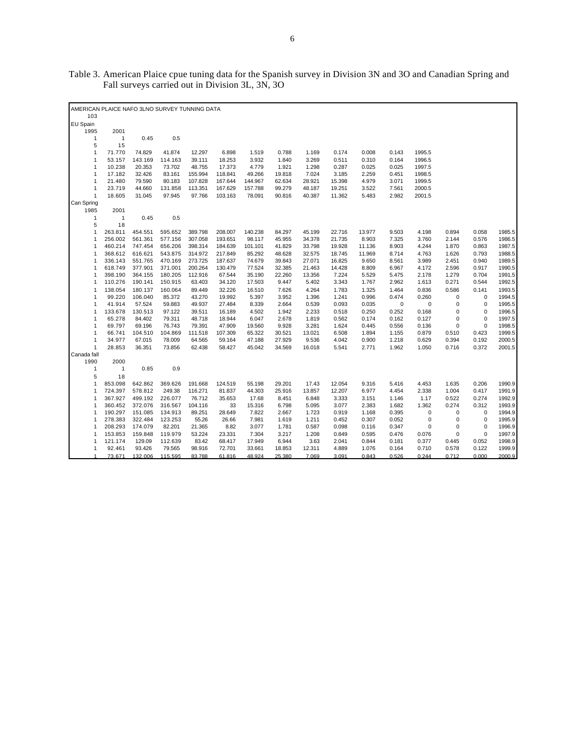| AMERICAN PLAICE NAFO 3LNO SURVEY TUNNING DATA<br>103 |              |         |         |         |         |         |        |        |        |        |             |             |             |             |        |
|------------------------------------------------------|--------------|---------|---------|---------|---------|---------|--------|--------|--------|--------|-------------|-------------|-------------|-------------|--------|
|                                                      |              |         |         |         |         |         |        |        |        |        |             |             |             |             |        |
| EU Spain                                             |              |         |         |         |         |         |        |        |        |        |             |             |             |             |        |
| 1995                                                 | 2001         |         |         |         |         |         |        |        |        |        |             |             |             |             |        |
| $\mathbf{1}$                                         | $\mathbf{1}$ | 0.45    | 0.5     |         |         |         |        |        |        |        |             |             |             |             |        |
| 5                                                    | 15           |         |         |         |         |         |        |        |        |        |             |             |             |             |        |
| $\mathbf{1}$                                         | 71.770       | 74.829  | 41.874  | 12.297  | 6.898   | 1.519   | 0.788  | 1.169  | 0.174  | 0.008  | 0.143       | 1995.5      |             |             |        |
| $\mathbf{1}$                                         | 53.157       | 143.169 | 114.163 | 39.111  | 18.253  | 3.932   | 1.840  | 3.269  | 0.511  | 0.310  | 0.164       | 1996.5      |             |             |        |
| $\mathbf{1}$                                         | 10.238       | 20.353  | 73.702  | 48.755  | 17.373  | 4.779   | 1.921  | 1.298  | 0.287  | 0.025  | 0.025       | 1997.5      |             |             |        |
| $\mathbf{1}$                                         | 17.182       | 32.426  | 83.161  | 155.994 | 118.841 | 49.266  | 19.818 | 7.024  | 3.185  | 2.259  | 0.451       | 1998.5      |             |             |        |
| 1                                                    | 21.480       | 79.590  | 80.183  | 107.828 | 167.644 | 144.967 | 62.634 | 28.921 | 15.398 | 4.979  | 3.071       | 1999.5      |             |             |        |
| 1                                                    | 23.719       | 44.660  | 131.858 | 113.351 | 167.629 | 157.788 | 99.279 | 48.187 | 19.251 | 3.522  | 7.561       | 2000.5      |             |             |        |
| $\mathbf{1}$                                         | 18.605       | 31.045  | 97.945  | 97.766  | 103.163 | 78.091  | 90.816 | 40.387 | 11.362 | 5.483  | 2.982       | 2001.5      |             |             |        |
| Can Spring                                           |              |         |         |         |         |         |        |        |        |        |             |             |             |             |        |
| 1985                                                 | 2001         |         |         |         |         |         |        |        |        |        |             |             |             |             |        |
| $\mathbf{1}$                                         | $\mathbf{1}$ | 0.45    | 0.5     |         |         |         |        |        |        |        |             |             |             |             |        |
| 5                                                    | 18           |         |         |         |         |         |        |        |        |        |             |             |             |             |        |
| $\mathbf{1}$                                         | 263.811      | 454.551 | 595.652 | 389.798 | 208.007 | 140.238 | 84.297 | 45.199 | 22.716 | 13.977 | 9.503       | 4.198       | 0.894       | 0.058       | 1985.5 |
| $\mathbf{1}$                                         | 256.002      | 561.361 | 577.156 | 307.058 | 193.651 | 98.117  | 45.955 | 34.378 | 21.735 | 8.903  | 7.325       | 3.760       | 2.144       | 0.576       | 1986.5 |
| 1                                                    | 460.214      | 747.454 | 656.206 | 398.314 | 184.639 | 101.101 | 41.829 | 33.798 | 19.928 | 11.136 | 8.903       | 4.244       | 1.870       | 0.863       | 1987.5 |
| 1                                                    | 368.612      | 616.621 | 543.875 | 314.972 | 217.849 | 85.292  | 48.628 | 32.575 | 18.745 | 11.969 | 8.714       | 4.763       | 1.626       | 0.793       | 1988.5 |
| 1                                                    | 336.143      | 551.765 | 470.169 | 273.725 | 187.637 | 74.679  | 39.843 | 27.071 | 16.825 | 9.650  | 8.561       | 3.989       | 2.451       | 0.940       | 1989.5 |
| 1                                                    | 618.749      | 377.901 | 371.001 | 200.264 | 130.479 | 77.524  | 32.385 | 21.463 | 14.428 | 8.809  | 6.967       | 4.172       | 2.596       | 0.917       | 1990.5 |
| $\mathbf{1}$                                         | 398.190      | 364.155 | 180.205 | 112.916 | 67.544  | 35.190  | 22.260 | 13.356 | 7.224  | 5.529  | 5.475       | 2.178       | 1.279       | 0.704       | 1991.5 |
| 1                                                    | 110.276      | 190.141 | 150.915 | 63.403  | 34.120  | 17.503  | 9.447  | 5.402  | 3.343  | 1.767  | 2.962       | 1.613       | 0.271       | 0.544       | 1992.5 |
| $\mathbf{1}$                                         | 138.054      | 180.137 | 160.064 | 89.449  | 32.226  | 16.510  | 7.626  | 4.264  | 1.783  | 1.325  | 1.464       | 0.836       | 0.586       | 0.141       | 1993.5 |
| 1                                                    | 99.220       | 106.040 | 85.372  | 43.270  | 19.992  | 5.397   | 3.952  | 1.396  | 1.241  | 0.996  | 0.474       | 0.260       | 0           | $\mathbf 0$ | 1994.5 |
| 1                                                    | 41.914       | 57.524  | 59.883  | 49.937  | 27.484  | 8.339   | 2.664  | 0.539  | 0.093  | 0.035  | $\mathbf 0$ | $\bf 0$     | $\mathbf 0$ | $\mathbf 0$ | 1995.5 |
| $\mathbf{1}$                                         | 133.678      | 130.513 | 97.122  | 39.511  | 16.189  | 4.502   | 1.942  | 2.233  | 0.518  | 0.250  | 0.252       | 0.168       | 0           | $\mathbf 0$ | 1996.5 |
| 1                                                    | 65.278       | 84.402  | 79.311  | 48.718  | 18.944  | 6.047   | 2.678  | 1.819  | 0.562  | 0.174  | 0.162       | 0.127       | $\mathbf 0$ | $\mathbf 0$ | 1997.5 |
| $\mathbf{1}$                                         | 69.797       | 69.196  | 76.743  | 79.391  | 47.909  | 19.560  | 9.928  | 3.281  | 1.624  | 0.445  | 0.556       | 0.136       | 0           | $\mathbf 0$ | 1998.5 |
| 1                                                    | 66.741       | 104.510 | 104.869 | 111.518 | 107.309 | 65.322  | 30.521 | 13.021 | 6.508  | 1.894  | 1.155       | 0.879       | 0.510       | 0.423       | 1999.5 |
| $\mathbf{1}$                                         | 34.977       | 67.015  | 78.009  | 64.565  | 59.164  | 47.188  | 27.929 | 9.536  | 4.042  | 0.900  | 1.218       | 0.629       | 0.394       | 0.192       | 2000.5 |
| $\mathbf{1}$                                         | 28.853       | 36.351  | 73.856  | 62.438  | 58.427  | 45.042  | 34.569 | 16.018 | 5.541  | 2.771  | 1.962       | 1.050       | 0.716       | 0.372       | 2001.5 |
| Canada fall                                          |              |         |         |         |         |         |        |        |        |        |             |             |             |             |        |
| 1990                                                 | 2000         |         |         |         |         |         |        |        |        |        |             |             |             |             |        |
| $\mathbf{1}$                                         | $\mathbf{1}$ | 0.85    | 0.9     |         |         |         |        |        |        |        |             |             |             |             |        |
| 5                                                    | 18           |         |         |         |         |         |        |        |        |        |             |             |             |             |        |
| $\mathbf{1}$                                         | 853.098      | 642.862 | 369.626 | 191.668 | 124.519 | 55.198  | 29.201 | 17.43  | 12.054 | 9.316  | 5.416       | 4.453       | 1.635       | 0.206       | 1990.9 |
| 1                                                    | 724.397      | 578.812 | 249.38  | 116.271 | 81.837  | 44.303  | 25.916 | 13.857 | 12.207 | 6.977  | 4.454       | 2.338       | 1.004       | 0.417       | 1991.9 |
| $\mathbf{1}$                                         | 367.927      | 499.192 | 226.077 | 76.712  | 35.653  | 17.68   | 8.451  | 6.848  | 3.333  | 3.151  | 1.146       | 1.17        | 0.522       | 0.274       | 1992.9 |
| $\mathbf{1}$                                         | 360.452      | 372.076 | 316.567 | 104.116 | 33      | 15.316  | 6.798  | 5.095  | 3.077  | 2.383  | 1.682       | 1.362       | 0.274       | 0.312       | 1993.9 |
| $\mathbf{1}$                                         | 190.297      | 151.085 | 134.913 | 89.251  | 28.649  | 7.822   | 2.667  | 1.723  | 0.919  | 1.168  | 0.395       | 0           | $\mathbf 0$ | $\mathbf 0$ | 1994.9 |
| 1                                                    | 278.383      | 322.484 | 123.253 | 55.26   | 26.66   | 7.981   | 1.619  | 1.211  | 0.452  | 0.307  | 0.052       | $\mathbf 0$ | 0           | $\mathbf 0$ | 1995.9 |
| 1                                                    | 208.293      | 174.079 | 82.201  | 21.365  | 8.82    | 3.077   | 1.781  | 0.587  | 0.098  | 0.116  | 0.347       | 0           | 0           | $\mathbf 0$ | 1996.9 |
| 1                                                    | 153.853      | 159.848 | 119.979 | 53.224  | 23.331  | 7.304   | 3.217  | 1.208  | 0.849  | 0.595  | 0.476       | 0.076       | 0           | $\mathbf 0$ | 1997.9 |
| 1                                                    | 121.174      | 129.09  | 112.639 | 83.42   | 68.417  | 17.949  | 6.944  | 3.63   | 2.041  | 0.844  | 0.181       | 0.377       | 0.445       | 0.052       | 1998.9 |
| 1                                                    | 92.461       | 93.426  | 79.565  | 98.916  | 72.701  | 33.661  | 18.853 | 12.311 | 4.889  | 1.076  | 0.164       | 0.710       | 0.578       | 0.122       | 1999.9 |
| 1                                                    | 73.671       | 132,006 | 115.595 | 83.788  | 61.816  | 48.924  | 25.380 | 7.069  | 3.091  | 0.843  | 0.526       | 0.244       | 0.712       | 0.000       | 2000.9 |

Table 3. American Plaice cpue tuning data for the Spanish survey in Division 3N and 3O and Canadian Spring and Fall surveys carried out in Division 3L, 3N, 3O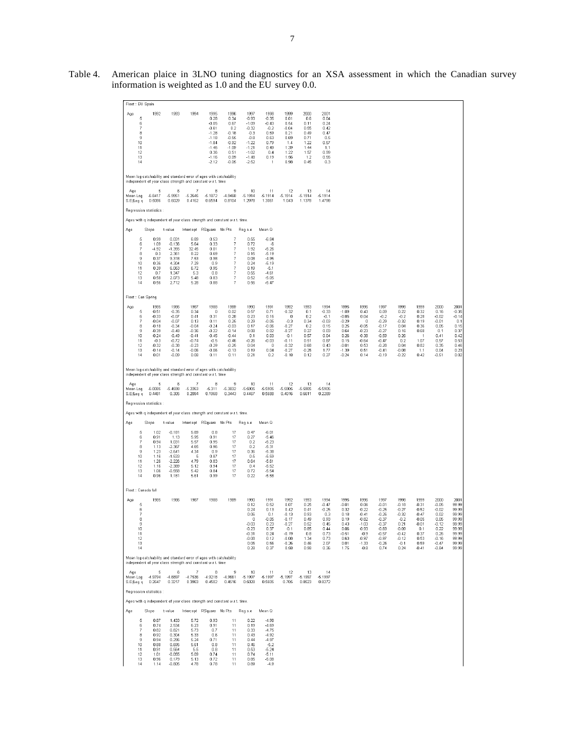| Fleet: EU Spain                                                         |                                                                                                                |                                                                                                                                   |                                                                                                        |                                                                                                              |                                                                                                                                     |                                                                                                                  |                                                                                                       |                                                                                                                   |                                                                                      |                                                                                              |                                                                                                        |                                                                                                            |                                                                                                                 |                                                                                                 |                                                                                                |                                                                                                        |                                                                                                |
|-------------------------------------------------------------------------|----------------------------------------------------------------------------------------------------------------|-----------------------------------------------------------------------------------------------------------------------------------|--------------------------------------------------------------------------------------------------------|--------------------------------------------------------------------------------------------------------------|-------------------------------------------------------------------------------------------------------------------------------------|------------------------------------------------------------------------------------------------------------------|-------------------------------------------------------------------------------------------------------|-------------------------------------------------------------------------------------------------------------------|--------------------------------------------------------------------------------------|----------------------------------------------------------------------------------------------|--------------------------------------------------------------------------------------------------------|------------------------------------------------------------------------------------------------------------|-----------------------------------------------------------------------------------------------------------------|-------------------------------------------------------------------------------------------------|------------------------------------------------------------------------------------------------|--------------------------------------------------------------------------------------------------------|------------------------------------------------------------------------------------------------|
| Age<br>5<br>6<br>$\overline{7}$<br>8<br>9<br>10<br>11<br>12<br>13<br>14 | 1992                                                                                                           | 1993                                                                                                                              | 1994                                                                                                   | 1995<br>0.28<br>$-0.06$<br>$-0.61$<br>$-1.28$<br>$-1.18$<br>$-1.84$<br>$-1.46$<br>0.36<br>$-1.16$<br>$-2.12$ | 1996<br>0.34<br>0.67<br>0.2<br>$-0.18$<br>$-0.55$<br>$-0.92$<br>$-1.09$<br>0.51<br>0.09<br>$-0.05$                                  | 1997<br>$-0.93$<br>$-1.09$<br>$-0.32$<br>$-0.3$<br>$-0.8$<br>$-1.22$<br>$-1.21$<br>$-1.02$<br>$-1.48$<br>$-2.52$ | 1998<br>$-0.35$<br>$-0.43$<br>$-0.2$<br>0.59<br>0.63<br>n 79<br>0.49<br>0.4<br>0.19<br>$\overline{1}$ | 1999<br>0.01<br>0.54<br>$-0.04$<br>0.21<br>0.69<br>14<br>1.39<br>1.22<br>1.56<br>0.98                             | 2000<br>0.6<br>0.11<br>0.55<br>0.49<br>0.71<br>1.22<br>1.44<br>1.57<br>1.2<br>0.45   | 2001<br>0.04<br>0.24<br>0.42<br>0.47<br>0.5<br>0.57<br>1.1<br>0.99<br>0.55<br>0.3            |                                                                                                        |                                                                                                            |                                                                                                                 |                                                                                                 |                                                                                                |                                                                                                        |                                                                                                |
|                                                                         |                                                                                                                | Mean log catchability and standard error of ages with catchability<br>independent of year class strength and constant w.r.t. time |                                                                                                        |                                                                                                              |                                                                                                                                     |                                                                                                                  |                                                                                                       |                                                                                                                   |                                                                                      |                                                                                              |                                                                                                        |                                                                                                            |                                                                                                                 |                                                                                                 |                                                                                                |                                                                                                        |                                                                                                |
| Age<br>Mean Log<br>S.E(Log q                                            | 5<br>$-6.8417$<br>0.5086                                                                                       | 6<br>$-5.9951$<br>0.6029                                                                                                          | 7<br>$-5.2645$<br>0.4162                                                                               | 8<br>$-5.1872$<br>0.6594                                                                                     | 9<br>$-4.9468$<br>0.8104                                                                                                            | 10<br>$-5.1914$<br>1.2978                                                                                        | 11<br>$-5.1914$<br>1.3061                                                                             | 12<br>$-5.1914$<br>1.043                                                                                          | 13<br>$-5.1914$<br>1.1378                                                            | 14<br>-5.1914<br>1.4798                                                                      |                                                                                                        |                                                                                                            |                                                                                                                 |                                                                                                 |                                                                                                |                                                                                                        |                                                                                                |
|                                                                         | Regression statistics :                                                                                        | Ages with q independent of year class strength and constant w.r.t. time.                                                          |                                                                                                        |                                                                                                              |                                                                                                                                     |                                                                                                                  |                                                                                                       |                                                                                                                   |                                                                                      |                                                                                              |                                                                                                        |                                                                                                            |                                                                                                                 |                                                                                                 |                                                                                                |                                                                                                        |                                                                                                |
| Age                                                                     | Slope                                                                                                          | t-value                                                                                                                           | Intercept RSquare No Pts                                                                               |                                                                                                              |                                                                                                                                     | Reg s.e                                                                                                          | Mean Q                                                                                                |                                                                                                                   |                                                                                      |                                                                                              |                                                                                                        |                                                                                                            |                                                                                                                 |                                                                                                 |                                                                                                |                                                                                                        |                                                                                                |
| 5                                                                       | 0.99                                                                                                           | 0.031                                                                                                                             | 6.89                                                                                                   | 0.53                                                                                                         | 7                                                                                                                                   | 0.55                                                                                                             | $-6.84$                                                                                               |                                                                                                                   |                                                                                      |                                                                                              |                                                                                                        |                                                                                                            |                                                                                                                 |                                                                                                 |                                                                                                |                                                                                                        |                                                                                                |
| 6<br>7<br>8<br>9<br>10<br>11<br>12<br>13<br>14                          | 1.09<br>$-4.92$<br>0.3<br>0.37<br>0.36<br>0.39<br>0.7<br>0.58<br>0.56                                          | $-0.136$<br>$-1.355$<br>2.361<br>9.318<br>4.304<br>6.063<br>1.347<br>2.073<br>2.712                                               | 5.64<br>32.45<br>8.22<br>7.53<br>7.29<br>6.72<br>5.3<br>5.48<br>5.28                                   | 0.33<br>0.01<br>0.69<br>0.98<br>0.9<br>0.95<br>0.8<br>0.83<br>0.88                                           | $\overline{7}$<br>7<br>$\overline{7}$<br>7<br>$\overline{\phantom{a}}$<br>$\overline{7}$<br>$\overline{7}$<br>$\boldsymbol{7}$<br>7 | 0.72<br>1.92<br>0.15<br>0.08<br>0.24<br>0.19<br>0.55<br>0.52<br>0.56                                             | -6<br>$-5.26$<br>$-5.19$<br>$-4.95$<br>$-5.19$<br>$-5.1$<br>$-4.61$<br>$-5.05$<br>$-5.47$             |                                                                                                                   |                                                                                      |                                                                                              |                                                                                                        |                                                                                                            |                                                                                                                 |                                                                                                 |                                                                                                |                                                                                                        |                                                                                                |
| Fleet: Can Spring                                                       |                                                                                                                |                                                                                                                                   |                                                                                                        |                                                                                                              |                                                                                                                                     |                                                                                                                  |                                                                                                       |                                                                                                                   |                                                                                      |                                                                                              |                                                                                                        |                                                                                                            |                                                                                                                 |                                                                                                 |                                                                                                |                                                                                                        |                                                                                                |
| Age<br>5<br>6<br>7<br>8<br>9<br>10<br>11<br>12<br>13<br>14              | 1985<br>$-0.51$<br>$-0.33$<br>$-0.04$<br>$-0.18$<br>$-0.39$<br>$-0.24$<br>$-0.3$<br>$-0.32$<br>$-0.14$<br>0.01 | 1986<br>$-0.35$<br>$-0.07$<br>$-0.07$<br>$-0.34$<br>$-0.48$<br>$-0.49$<br>$-0.72$<br>$-0.38$<br>$-0.14$<br>$-0.09$                | 1987<br>0.34<br>0.41<br>0.13<br>$-0.04$<br>$-0.36$<br>$-0.41$<br>$-0.74$<br>$-0.23$<br>$-0.06$<br>0.08 | 1988<br>$\mathbf 0$<br>0.31<br>0.11<br>$-0.24$<br>$-0.22$<br>$-0.45$<br>$-0.5$<br>$-0.29$<br>$-0.06$<br>0.11 | 1989<br>0.02<br>0.28<br>0.25<br>$-0.03$<br>$-0.14$<br>$-0.44$<br>$-0.46$<br>$-0.25$<br>$-0.13$<br>0.11                              | 1990<br>0.57<br>0.23<br>0.29<br>0.17<br>0.08<br>0.1<br>$-0.26$<br>0.04<br>0.19<br>0.21                           | 1991<br>0.71<br>0.16<br>$-0.05$<br>$-0.06$<br>0.02<br>0.03<br>$-0.03$<br>0<br>0.04<br>0.2             | 1992<br>$-0.32$<br>$\Omega$<br>$-0.3$<br>$-0.27$<br>$-0.27$<br>$-0.1$<br>$-0.11$<br>$-0.32$<br>$-0.27$<br>$-0.18$ | 1993<br>0.1<br>0.2<br>0.34<br>0.2<br>0.27<br>0.57<br>n 51<br>0.68<br>$-0.25$<br>0.12 | 1994<br>$-0.33$<br>$-0.1$<br>$-0.03$<br>0.15<br>0.03<br>0.04<br>n 87<br>0.43<br>1.77<br>0.27 | 1995<br>$-1.09$<br>$-0.85$<br>$-0.29$<br>0.25<br>0.64<br>0.26<br>0.15<br>$-0.01$<br>$-1.39$<br>$-0.24$ | 1996<br>0.43<br>0.04<br>$\circ$<br>$-0.05$<br>$-0.23$<br>$-0.38$<br>$-0.64$<br>0.53<br>0.51<br>0.14        | 1997<br>0.09<br>$-0.2$<br>$-0.29$<br>$-0.17$<br>$-0.27$<br>$-0.59$<br>$-0.47$<br>$-0.28$<br>$-0.41$<br>$-0.19$  | 1998<br>0.22<br>$-0.2$<br>$-0.32$<br>0.04<br>0.16<br>0.26<br>0.2<br>0.04<br>$-0.08$<br>$-0.22$  | 1999<br>0.32<br>0.28<br>0.19<br>0.36<br>0.68<br>-1<br>1 <sub>07</sub><br>0.82<br>1.1<br>0.42   | 2000<br>0.16<br>$-0.02$<br>$-0.01$<br>0.05<br>0.1<br>0.41<br>0.57<br>0.35<br>0.04<br>$-0.51$           | 2001<br>$-0.35$<br>$-0.14$<br>0.1<br>0.15<br>0.37<br>0.42<br>0.53<br>0.46<br>0.23<br>0.02      |
|                                                                         |                                                                                                                | Mean log catchability and standard error of ages with catchability<br>independent of year class strength and constant w.r.t. time |                                                                                                        |                                                                                                              |                                                                                                                                     |                                                                                                                  |                                                                                                       |                                                                                                                   |                                                                                      |                                                                                              |                                                                                                        |                                                                                                            |                                                                                                                 |                                                                                                 |                                                                                                |                                                                                                        |                                                                                                |
| Age<br>Mean Log<br>S.E(Log q                                            | 5<br>$-6.0085$<br>0.4481                                                                                       | 6<br>$-5.4598$<br>0.305                                                                                                           | 7<br>$-5.2263$<br>0.2094                                                                               | 8<br>$-5.311$<br>0.1968                                                                                      | 9<br>$-5.3832$<br>0.3443                                                                                                            | 10<br>$-5.5905$<br>0.4467                                                                                        | 11<br>$-5.5905$<br>0.5688                                                                             | 12<br>$-5.5906$<br>0.4016                                                                                         | 13<br>$-5.5905$<br>0.6611                                                            | 14<br>$-5.5906$<br>0.2289                                                                    |                                                                                                        |                                                                                                            |                                                                                                                 |                                                                                                 |                                                                                                |                                                                                                        |                                                                                                |
|                                                                         | Regression statistics :                                                                                        |                                                                                                                                   |                                                                                                        |                                                                                                              |                                                                                                                                     |                                                                                                                  |                                                                                                       |                                                                                                                   |                                                                                      |                                                                                              |                                                                                                        |                                                                                                            |                                                                                                                 |                                                                                                 |                                                                                                |                                                                                                        |                                                                                                |
| Age                                                                     | Slope                                                                                                          | Ages with q independent of year class strength and constant w.r.t. time.<br>t-value                                               | Intercept RSquare No Pts                                                                               |                                                                                                              |                                                                                                                                     | Reg s.e                                                                                                          | Mean Q                                                                                                |                                                                                                                   |                                                                                      |                                                                                              |                                                                                                        |                                                                                                            |                                                                                                                 |                                                                                                 |                                                                                                |                                                                                                        |                                                                                                |
| 5                                                                       | 1.02                                                                                                           | $-0.181$                                                                                                                          | 5.89                                                                                                   | 0.8                                                                                                          | 17                                                                                                                                  | 0.47                                                                                                             | $-6.01$                                                                                               |                                                                                                                   |                                                                                      |                                                                                              |                                                                                                        |                                                                                                            |                                                                                                                 |                                                                                                 |                                                                                                |                                                                                                        |                                                                                                |
| 6<br>$\overline{\phantom{a}}$<br>8<br>9<br>10<br>11<br>12<br>13<br>14   | 0.91<br>0.94<br>1.13<br>1.23<br>1.16<br>1.26<br>1.16<br>1.06<br>0.96                                           | 1.13<br>1.031<br>$-2.367$<br>$-2.641$<br>$-1.533$<br>$-2.226$<br>$-2.389$<br>$-0.558$<br>1,181                                    | 5.95<br>5.57<br>4.65<br>4.34<br>5<br>4.79<br>5.12<br>5.42<br>5.61                                      | 0.91<br>0.95<br>0.96<br>0.9<br>0.87<br>0.83<br>0.94<br>0.84<br>0.99                                          | 17<br>17<br>17<br>17<br>17<br>17<br>17<br>17<br>17                                                                                  | 0.27<br>0.2<br>02<br>0.36<br>0.5<br>0.64<br>0.4<br>0.72<br>0.22                                                  | $-5.46$<br>$-5.23$<br>$-5.31$<br>$-5.38$<br>$-5.59$<br>$-5.61$<br>$-5.52$<br>$-5.54$<br>$-5.58$       |                                                                                                                   |                                                                                      |                                                                                              |                                                                                                        |                                                                                                            |                                                                                                                 |                                                                                                 |                                                                                                |                                                                                                        |                                                                                                |
| Fleet : Canada fall                                                     |                                                                                                                |                                                                                                                                   |                                                                                                        |                                                                                                              |                                                                                                                                     |                                                                                                                  |                                                                                                       |                                                                                                                   |                                                                                      |                                                                                              |                                                                                                        |                                                                                                            |                                                                                                                 |                                                                                                 |                                                                                                |                                                                                                        |                                                                                                |
| Age<br>5<br>6<br>$\overline{7}$<br>8<br>9<br>10<br>11<br>12<br>13<br>14 | 1985                                                                                                           | 1986                                                                                                                              | 1987                                                                                                   | 1988                                                                                                         | 1989                                                                                                                                | 1990<br>0.12<br>0.24<br>0.06<br>$\circ$<br>$-0.03$<br>U.ZC<br>$-0.31$<br>$-0.08$<br>0.05<br>0.28                 | 1991<br>0.52<br>0.13<br>0.1<br>$-0.05$<br>0.23<br>0.3<br>0.24<br>0.12<br>0.56<br>0.37                 | 1992<br>0.07<br>0.42<br>$-0.13$<br>$-0.17$<br>$-0.27$<br>$-0.19$<br>$-0.08$<br>$-0.26$<br>0.58                    | 1993<br>0.25<br>0.41<br>0.93<br>0.49<br>0.52<br>0.85<br>0.8<br>1.34<br>0.46<br>0.98  | 1994<br>$-0.47$<br>$-0.25$<br>0.3<br>0.93<br>0.45<br>0.73<br>0.73<br>2.07<br>0.36            | 1995<br>$-0.01$<br>0.32<br>0.18<br>0.19<br>0.43<br>0.06<br>$-0.51$<br>0.63<br>0.01<br>1.75             | 1996<br>0.06<br>$-0.22$<br>$-0.41$<br>$-0.82$<br>$-1.03$<br>0.93<br>$-0.9$<br>$-0.97$<br>$-1.33$<br>$-0.8$ | 1997<br>$-0.01$<br>$-0.25$<br>$-0.26$<br>$-0.37$<br>$-0.37$<br>$-0.69$<br>$-0.57$<br>$-0.97$<br>$-0.26$<br>0.74 | 1998<br>$-0.18$<br>$-0.27$<br>$-0.32$<br>$-0.2$<br>0.21<br>$-0.42$<br>$-0.12$<br>$-0.1$<br>0.24 | 1999<br>$-0.31$<br>$-0.52$<br>$-0.47$<br>$-0.05$<br>$-0.01$<br>0.37<br>0.53<br>0.59<br>$-0.41$ | 2000<br>$-0.05$<br>$-0.02$<br>0.02<br>0.05<br>$-0.12$<br>0.22<br>0.26<br>$-0.16$<br>$-0.47$<br>$-0.84$ | 2001<br>99.99<br>99.99<br>99.99<br>99.99<br>99.99<br>99.99<br>99.99<br>99.99<br>99.99<br>99.99 |
|                                                                         |                                                                                                                | Mean log catchability and standard error of ages with catchability<br>independent of year class strength and constant w.r.t. time |                                                                                                        |                                                                                                              |                                                                                                                                     |                                                                                                                  |                                                                                                       |                                                                                                                   |                                                                                      |                                                                                              |                                                                                                        |                                                                                                            |                                                                                                                 |                                                                                                 |                                                                                                |                                                                                                        |                                                                                                |
| Age<br>Mean Log<br>S.E(Log q                                            | 5<br>$-4.9794$<br>0.2647                                                                                       | 6<br>$-4.6897$<br>0.3217                                                                                                          | 7<br>$-4.7536$<br>0.3963                                                                               | 8<br>$-4.9218$<br>0.4502                                                                                     | 9<br>$-4.9661$<br>0.4516                                                                                                            | 10<br>$-5.1997$<br>0.5028                                                                                        | 11<br>$-5.1997$<br>0.5605                                                                             | 12<br>$-5.1997$<br>0.705                                                                                          | 13<br>$-5.1997$<br>0.8523                                                            | 14<br>$-5.1997$<br>0.8272                                                                    |                                                                                                        |                                                                                                            |                                                                                                                 |                                                                                                 |                                                                                                |                                                                                                        |                                                                                                |
|                                                                         | Regression statistics :                                                                                        |                                                                                                                                   |                                                                                                        |                                                                                                              |                                                                                                                                     |                                                                                                                  |                                                                                                       |                                                                                                                   |                                                                                      |                                                                                              |                                                                                                        |                                                                                                            |                                                                                                                 |                                                                                                 |                                                                                                |                                                                                                        |                                                                                                |
| Age                                                                     | Slope                                                                                                          | Ages with q independent of year class strength and constant w.r.t. time.<br>t-value                                               | Intercept RSquare No Pts                                                                               |                                                                                                              |                                                                                                                                     | Reg s.e                                                                                                          | Mean Q                                                                                                |                                                                                                                   |                                                                                      |                                                                                              |                                                                                                        |                                                                                                            |                                                                                                                 |                                                                                                 |                                                                                                |                                                                                                        |                                                                                                |
| $\sqrt{5}$                                                              | 0.87                                                                                                           | 1.433                                                                                                                             | 5.72                                                                                                   | 0.93                                                                                                         | 11                                                                                                                                  | 0.22                                                                                                             | $-4.98$                                                                                               |                                                                                                                   |                                                                                      |                                                                                              |                                                                                                        |                                                                                                            |                                                                                                                 |                                                                                                 |                                                                                                |                                                                                                        |                                                                                                |
| 6<br>$\overline{7}$<br>8<br>9<br>10<br>11<br>12<br>13<br>14             | 0.74<br>0.82<br>0.92<br>0.94<br>0.8B<br>0.91<br>1.01<br>0.96<br>1.14                                           | 2.534<br>0.821<br>0.304<br>0.296<br>0.695<br>0.564<br>$-0.055$<br>0.179<br>$-0.805$                                               | 6.23<br>5.73<br>5.33<br>5.24<br>5.61<br>5.5<br>5.09<br>5.13<br>4.78                                    | 0.91<br>0.7<br>0.6<br>0.71<br>0.8<br>0.8<br>0.74<br>0.72<br>0.78                                             | 11<br>11<br>11<br>11<br>11<br>11<br>11<br>11<br>11                                                                                  | 0.19<br>0.33<br>0.43<br>0.44<br>0.46<br>0.53<br>0.74<br>0.85<br>0.89                                             | $-4.69$<br>$-4.75$<br>$-4.92$<br>$-4.97$<br>$-5.2$<br>$-5.24$<br>$-5.11$<br>$-5.08$<br>$-4.9$         |                                                                                                                   |                                                                                      |                                                                                              |                                                                                                        |                                                                                                            |                                                                                                                 |                                                                                                 |                                                                                                |                                                                                                        |                                                                                                |

Table 4. American plaice in 3LNO tuning diagnostics for an XSA assessment in which the Canadian survey information is weighted as 1.0 and the EU survey 0.0.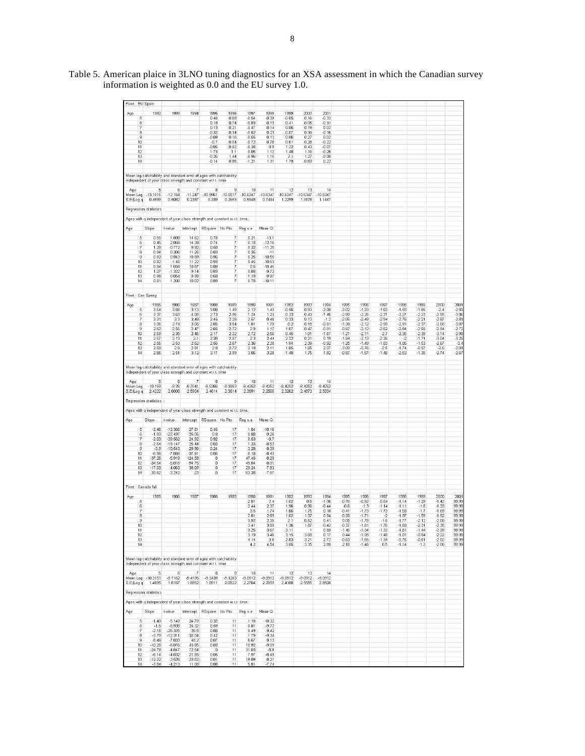| Fleet: EU Spain       |                              |                                                                                                                                   |                         |                                               |                                |                      |                      |                      |                      |                      |                    |                    |                    |                    |                    |                    |                    |
|-----------------------|------------------------------|-----------------------------------------------------------------------------------------------------------------------------------|-------------------------|-----------------------------------------------|--------------------------------|----------------------|----------------------|----------------------|----------------------|----------------------|--------------------|--------------------|--------------------|--------------------|--------------------|--------------------|--------------------|
| Age<br>5              | 1992                         | 1993                                                                                                                              | 1994                    | 1995<br>0.46                                  | 1996<br>0.69                   | 1997<br>$-0.54$      | 1998<br>$-0.39$      | 1999<br>$-0.05$      | 2000<br>0.16         | 2001<br>$-0.33$      |                    |                    |                    |                    |                    |                    |                    |
| 6<br>7                |                              |                                                                                                                                   |                         | 0.18<br>0.13                                  | 0.74<br>0.21                   | $-0.83$<br>$-0.47$   | $-0.13$<br>$-0.14$   | 0.41<br>0.06         | $-0.05$<br>0.19      | $-0.31$<br>0.02      |                    |                    |                    |                    |                    |                    |                    |
| 8<br>9                |                              |                                                                                                                                   |                         | $-0.32$<br>$-0.09$                            | 0.34<br>0.16                   | $-0.52$<br>$-0.55$   | 0.23<br>0.13         | 0.07<br>0.06         | 0.36<br>0.27         | $-0.16$<br>0.02      |                    |                    |                    |                    |                    |                    |                    |
| 10<br>11              |                              |                                                                                                                                   |                         | $-0.7$<br>$-0.85$                             | $-0.04$<br>0.02                | $-0.72$<br>$-0.38$   | 0.78<br>0.9          | 0.61<br>1.22         | 0.28<br>0.43         | $-0.22$<br>$-0.07$   |                    |                    |                    |                    |                    |                    |                    |
| 12<br>13              |                              |                                                                                                                                   |                         | 1.73<br>$-0.26$                               | 1.1<br>1.44                    | 0.05<br>$-0.96$      | 1.12<br>1.15         | 1.48<br>2.1          | 1.16<br>1.27         | $-0.26$<br>$-0.08$   |                    |                    |                    |                    |                    |                    |                    |
| 14                    |                              |                                                                                                                                   |                         | $-0.14$                                       | 0.85                           | $-1.21$              | 1.31                 | 1.79                 | 0.83                 | 0.22                 |                    |                    |                    |                    |                    |                    |                    |
|                       |                              | Mean log catchability and standard error of ages with catchability                                                                |                         |                                               |                                |                      |                      |                      |                      |                      |                    |                    |                    |                    |                    |                    |                    |
|                       | 5                            | independent of year class strength and constant w.r.t. time<br>6                                                                  | 7                       | 8                                             | 9                              | 10                   | 11                   | 12                   | 13                   | 14                   |                    |                    |                    |                    |                    |                    |                    |
| Age                   | Mean Log -13.1015            | $-12.164$                                                                                                                         | $-11.247$               | $-10.9961$<br>0.339                           | $-10.5517$<br>0.2653           | $-10.6347$<br>0.5948 | $-10.6347$<br>0.7494 | $-10.6347$<br>1.2299 | $-10.6347$<br>1.3178 | $-10.6347$<br>1.1447 |                    |                    |                    |                    |                    |                    |                    |
| S.E(Log q             | 0.4599                       | 0.5082                                                                                                                            | 0.2387                  |                                               |                                |                      |                      |                      |                      |                      |                    |                    |                    |                    |                    |                    |                    |
|                       | Regression statistics        |                                                                                                                                   |                         |                                               |                                |                      |                      |                      |                      |                      |                    |                    |                    |                    |                    |                    |                    |
|                       | Slope                        | Ages with q independent of year class strength and constant w.r.t. time.<br>t-value                                               |                         | RSquare No Pts                                |                                | Reg s.e              | Mean Q               |                      |                      |                      |                    |                    |                    |                    |                    |                    |                    |
| Age<br>5              | 0.55                         | 1.888                                                                                                                             | Intercept<br>14.62      | 0.78                                          | 7                              | 0.21                 | $-13.1$              |                      |                      |                      |                    |                    |                    |                    |                    |                    |                    |
| 6<br>7                | 0.45<br>1.29                 | 2.068<br>$-0.772$                                                                                                                 | 14.39<br>9.92           | 0.74<br>0.58                                  | $\overline{\phantom{a}}$<br>7  | 0.18<br>0.32         | $-12.16$<br>$-11.25$ |                      |                      |                      |                    |                    |                    |                    |                    |                    |                    |
| 8<br>9                | 0.94<br>0.92                 | 0.305<br>0.943                                                                                                                    | 11.26<br>10.89          | 0.83<br>0.96                                  | 7<br>$\overline{\mathfrak{c}}$ | 0.35<br>0.25         | $-11$<br>$-10.55$    |                      |                      |                      |                    |                    |                    |                    |                    |                    |                    |
| 10<br>11              | 0.82<br>0.84                 | 1.46<br>1.034                                                                                                                     | 11.22<br>10.87          | 0.93<br>0.89                                  | 7<br>7                         | 0.45<br>0.6          | $-10.63$<br>$-10.45$ |                      |                      |                      |                    |                    |                    |                    |                    |                    |                    |
| 12<br>13              | 1.27<br>0.98                 | $-1.322$<br>0.054                                                                                                                 | 9.14<br>9.98            | 0.83<br>0.68                                  | $\overline{\mathfrak{c}}$<br>7 | 0.88<br>1.19         | $-9.72$<br>$-9.97$   |                      |                      |                      |                    |                    |                    |                    |                    |                    |                    |
| 14                    | 0.81                         | 1.208                                                                                                                             | 10.02                   | 0.89                                          | 7                              | 0.78                 | $-10.11$             |                      |                      |                      |                    |                    |                    |                    |                    |                    |                    |
| Fleet: Can Spring     |                              |                                                                                                                                   |                         |                                               |                                |                      |                      |                      |                      |                      |                    |                    |                    |                    |                    |                    |                    |
| Age                   | 1985                         | 1986                                                                                                                              | 1987                    | 1988                                          | 1989                           | 1990                 | 1991                 | 1992                 | 1993                 | 1994                 | 1995               | 1996               | 1997               | 1998               | 1999               | 2000               | 2001               |
| 5<br>6                | 3.54<br>3.37                 | 3.68<br>3.63                                                                                                                      | 3.13<br>4.08            | 3.08<br>2.73                                  | 1.49<br>2.96                   | 2.12<br>1.24         | 1.43<br>1.23         | $-0.56$<br>0.33      | $-0.83$<br>$-0.43$   | $-2.08$<br>$-1.46$   | $-3.02$<br>$-2.99$ | $-1.33$<br>$-2.26$ | $-1.63$<br>$-2.31$ | $-1.93$<br>$-2.27$ | $-1.85$<br>$-2.23$ | $-2.4$<br>$-2.55$  | $-2.83$<br>$-3.06$ |
| 7<br>8                | 3.31<br>3.06                 | 3.3<br>2.74                                                                                                                       | 3.49<br>3.06            | 3.45<br>2.85                                  | 2.28<br>3.04                   | 2.57<br>1.81         | 0.48<br>1.79         | 0.33<br>$-0.2$       | 0.13<br>0.18         | $-1.2$<br>$-0.81$    | $-2.06$<br>$-1.39$ | $-2.49$<br>$-2.12$ | $-2.94$<br>$-2.99$ | $-2.76$<br>$-2.91$ | $-2.21$<br>$-2.37$ | $-2.87$<br>$-2.68$ | $-2.81$<br>$-3.07$ |
| 9<br>10               | 2.62<br>2.59                 | 2.55<br>2.35                                                                                                                      | 2.47<br>2.46            | 2.65<br>2.17                                  | 2.72<br>2.22                   | 2.9<br>2.72          | 1.17<br>2.56         | 1.07<br>0.45         | $-0.47$<br>1.01      | $-0.91$<br>$-1.67$   | $-0.87$<br>$-1.21$ | $-2.12$<br>$-2.11$ | $-2.62$<br>$-2.7$  | $-2.94$<br>$-2.35$ | $-2.55$<br>$-2.39$ | $-2.94$<br>$-3.14$ | $-2.72$<br>$-2.98$ |
| 11<br>12              | 2.57<br>2.56                 | 2.13<br>2.53                                                                                                                      | 2.1<br>2.62             | 2.38<br>2.56                                  | 2.07<br>2.67                   | 2.3<br>2.36          | 2.44<br>2.38         | 2.22<br>1.94         | 0.21<br>2.39         | 0.19<br>$-0.92$      | $-1.84$<br>$-1.25$ | $-2.13$<br>$-1.49$ | $-2.26$<br>$-1.83$ | $-2$<br>$-1.85$    | $-1.71$<br>$-1.53$ | $-3.04$<br>$-2.67$ | $-3.25$<br>$-3.4$  |
| 13<br>14              | 2.59<br>2.86                 | 2.8<br>2.51                                                                                                                       | 2.91<br>3.12            | 2.8<br>3.17                                   | 2.72<br>2.99                   | 3.19<br>3.06         | 2.11<br>3.28         | 1.85<br>1.48         | 1.65<br>1.75         | 2.07<br>1.82         | $-3.09$<br>$-0.87$ | $-0.76$<br>$-1.57$ | $-2.5$<br>$-1.48$  | $-1.74$<br>$-2.53$ | $-0.97$<br>$-1.38$ | $-2.5$<br>$-2.74$  | $-3.01$<br>$-2.67$ |
|                       |                              |                                                                                                                                   |                         |                                               |                                |                      |                      |                      |                      |                      |                    |                    |                    |                    |                    |                    |                    |
|                       |                              | Mean log catchability and standard error of ages with catchability<br>independent of year class strength and constant w.r.t. time |                         |                                               |                                |                      |                      |                      |                      |                      |                    |                    |                    |                    |                    |                    |                    |
| Age                   | 5                            | 6                                                                                                                                 | 7                       | 8                                             | 9                              | 10                   | 11                   | 12                   | 13                   | 14                   |                    |                    |                    |                    |                    |                    |                    |
| Mean Log<br>S.E(Log q | $-10.159$<br>2.4222          | $-9.26$<br>2.6008                                                                                                                 | $-8.7041$<br>2.5904     | $-8.5266$<br>2.4614                           | $-8.3863$<br>2.3614            | $-8.4252$<br>2.3591  | $-8.4252$<br>2.2566  | $-8.4252$<br>2.3262  | $-8.4252$<br>2.4873  | $-8.4252$<br>2.5034  |                    |                    |                    |                    |                    |                    |                    |
|                       | Regression statistics        |                                                                                                                                   |                         |                                               |                                |                      |                      |                      |                      |                      |                    |                    |                    |                    |                    |                    |                    |
|                       |                              | Ages with q independent of year class strength and constant w.r.t. time.                                                          |                         |                                               |                                |                      |                      |                      |                      |                      |                    |                    |                    |                    |                    |                    |                    |
| Age                   | Slope                        | t-value                                                                                                                           | Intercept               | RSquare No Pts                                |                                | Reg s.e              | Mean Q               |                      |                      |                      |                    |                    |                    |                    |                    |                    |                    |
| 5                     | $-2.46$<br>$-1.93$           | $-12.366$<br>$-22.497$                                                                                                            | 27.81<br>25.05          | 0.46<br>0.8                                   | 17<br>17                       | 1.84<br>0.88         | $-10.16$<br>$-9.26$  |                      |                      |                      |                    |                    |                    |                    |                    |                    |                    |
| 6<br>7<br>8           | $-2.03$                      | $-39.562$                                                                                                                         | 24.92                   | 0.92<br>0.65                                  | 17                             | 0.53                 | $-8.7$<br>$-8.53$    |                      |                      |                      |                    |                    |                    |                    |                    |                    |                    |
| 9<br>10               | $-2.64$<br>$-3.9$<br>$-6.98$ | $-19.147$<br>$-10.543$<br>$-7.058$                                                                                                | 26.44<br>29.96<br>37.81 | 0.24<br>0.05                                  | 17<br>17<br>17                 | 1.33<br>3.28<br>8.18 | $-8.39$<br>$-8.43$   |                      |                      |                      |                    |                    |                    |                    |                    |                    |                    |
| 11<br>12              | $-37.26$<br>$-34.54$         | $-5.919$<br>$-5.016$                                                                                                              | 124.58<br>94.75         | $\circ$<br>0                                  | 17<br>17                       | 47.46<br>49.84       | $-8.29$<br>$-8.01$   |                      |                      |                      |                    |                    |                    |                    |                    |                    |                    |
| 13                    | $-17.03$                     | $-4.063$                                                                                                                          | 38.09                   | $\theta$                                      | 17                             | 29.24                | $-7.83$              |                      |                      |                      |                    |                    |                    |                    |                    |                    |                    |
| 14                    | 33.62                        | $-3.242$                                                                                                                          | $-23$                   | 0                                             | 17                             | 63.38                | $-7.67$              |                      |                      |                      |                    |                    |                    |                    |                    |                    |                    |
| Fleet : Canada fall   |                              |                                                                                                                                   |                         |                                               |                                |                      |                      |                      |                      |                      |                    |                    |                    |                    |                    |                    |                    |
| Age<br>5              | 1985                         | 1986                                                                                                                              | 1987                    | 1988                                          | 1989                           | 1990<br>2.81         | 1991<br>2.4          | 1992<br>1.02         | 1993<br>0.5          | 1994<br>$-1.06$      | 1995<br>$-0.76$    | 1996<br>$-0.52$    | 1997<br>$-0.54$    | 1998<br>$-1.14$    | 1999<br>$-1.29$    | 2000<br>$-1.42$    | 2001<br>99.99      |
| 6<br>7                |                              |                                                                                                                                   |                         |                                               |                                | 2.44<br>3.5          | 2.37<br>1.74         | 1.96<br>1.66         | 0.96<br>1.75         | $-0.44$<br>0.18      | $-0.6$<br>$-0.41$  | $-1.3$<br>$-1.73$  | $-1.14$<br>$-1.73$ | $-1.11$<br>$-1.59$ | $-1.8$<br>$-1.7$   | $-1.33$<br>$-1.69$ | 99.99<br>99.99     |
| 8<br>9                |                              |                                                                                                                                   |                         |                                               |                                | 2.81<br>3.92         | 2.89<br>2.35         | 1.02<br>2.1          | 1.37<br>0.52         | 0.94<br>0.41         | $-0.26$<br>0.05    | $-1.71$<br>$-1.78$ | $-2$<br>$-1.6$     | $-1.97$<br>$-1.77$ | $-1.59$<br>$-2.12$ | $-1.52$<br>$-2.08$ | 99.99<br>99.99     |
| 10<br>11              |                              |                                                                                                                                   |                         |                                               |                                | 3.41<br>3.25         | 3.89<br>3.67         | 1.36<br>3.11         | 1.87<br>$\mathbf{1}$ | $-0.42$<br>0.69      | $-0.37$<br>$-1.46$ | $-1.61$<br>$-1.34$ | $-1.76$<br>$-1.33$ | $-1.69$<br>$-1.61$ | $-2.31$<br>$-1.44$ | $-2.35$<br>$-2.39$ | 99.99<br>99.99     |
| 12<br>13              |                              |                                                                                                                                   |                         |                                               |                                | 3.19<br>4.14         | 3.46<br>3.6          | 3.15<br>2.83         | 3.68<br>3.21         | 0.17<br>2.72         | 0.44<br>$-0.63$    | $-1.95$<br>$-1.55$ | $-1.49$<br>$-1.34$ | $-1.01$<br>$-0.76$ | $-0.84$<br>$-0.51$ | $-2.22$<br>$-2.02$ | 99.99<br>99.99     |
| 14                    |                              |                                                                                                                                   |                         |                                               |                                | 4.2                  | 4.54                 | 3.05                 | 3.35                 | 2.89                 | 2.18               | $-1.46$            | 0.5                | $-1.14$            | $-1.2$             | $-2.06$            | 99.99              |
|                       |                              | Mean log catchability and standard error of ages with catchability                                                                |                         |                                               |                                |                      |                      |                      |                      |                      |                    |                    |                    |                    |                    |                    |                    |
|                       |                              | independent of year class strength and constant w.r.t. time                                                                       |                         |                                               |                                |                      |                      |                      |                      |                      |                    |                    |                    |                    |                    |                    |                    |
| Age                   | 5.<br>Mean Log -10.3151      | 6<br>$-9.7162$                                                                                                                    | $-9.4195$               | 8<br>$-9.3439$                                | 9<br>$-9.1263$                 | 10<br>$-9.0912$      | 11<br>$-9.0912$      | 12<br>$-9.0912$      | 13<br>$-9.0912$      | 14<br>$-9.0912$      |                    |                    |                    |                    |                    |                    |                    |
| S.E(Log q             | 1.4895                       | 1.6167                                                                                                                            | 1.8852                  | 1.8911                                        | 2.0822                         | 2.2764               | 2.2659               | 2.4188               | 2.5555               | 2.8508               |                    |                    |                    |                    |                    |                    |                    |
|                       | Regression statistics :      |                                                                                                                                   |                         |                                               |                                |                      |                      |                      |                      |                      |                    |                    |                    |                    |                    |                    |                    |
|                       |                              | Ages with q independent of year class strength and constant w.r.t. time.                                                          |                         |                                               |                                |                      |                      |                      |                      |                      |                    |                    |                    |                    |                    |                    |                    |
| Age                   | Slope                        | t-value                                                                                                                           |                         | Intercept RSquare No Pts                      |                                | Regis.e              | Mean Q               |                      |                      |                      |                    |                    |                    |                    |                    |                    |                    |
| $\sqrt{5}$<br>6       | $-1.49$<br>$-1.5$            | $-5.149$<br>$-8.939$                                                                                                              | 24.79<br>24.32          | 0.32<br>0.59                                  | 11<br>11                       | 1.18<br>0.81         | $-10.32$<br>$-9.72$  |                      |                      |                      |                    |                    |                    |                    |                    |                    |                    |
| 7<br>8                | $-2.16$<br>$-3.79$           | $-26.325$<br>$-12.311$                                                                                                            | 26.5<br>32.04           | 0.88<br>0.42                                  | 11<br>11                       | 0.49<br>1.79         | $-9.42$<br>$-9.34$   |                      |                      |                      |                    |                    |                    |                    |                    |                    |                    |
| -9<br>10              | $-8.49$<br>$-10.28$          | $-7.833$<br>$-6.076$                                                                                                              | 48.2<br>45.85           | 0.07<br>0.03                                  | 11<br>11                       | 6.67<br>10.92        | $-9.13$<br>$-9.09$   |                      |                      |                      |                    |                    |                    |                    |                    |                    |                    |
| 11<br>$12 \n$         | $-24.79$<br>$-6.14$          | $-4.847$<br>$-4.832$                                                                                                              | 72.54<br>21.85          | $\begin{array}{c} 0 \\ 0 \end{array}$<br>0.05 | 11<br>11                       | 31.03<br>7.97        | $-8.9$<br>$-8.49$    |                      |                      |                      |                    |                    |                    |                    |                    |                    |                    |
| 13<br>14              | $-12.22$<br>$-3.84$          | $-3.526$<br>$-4.213$                                                                                                              | 23.52<br>11.08          | 0.01<br>0.08                                  | 11<br>11                       | 19.89<br>5.81        | $-8.21$<br>$-7.74$   |                      |                      |                      |                    |                    |                    |                    |                    |                    |                    |

Table 5. American plaice in 3LNO tuning diagnostics for an XSA assessment in which the Canadian survey information is weighted as 0.0 and the EU survey 1.0.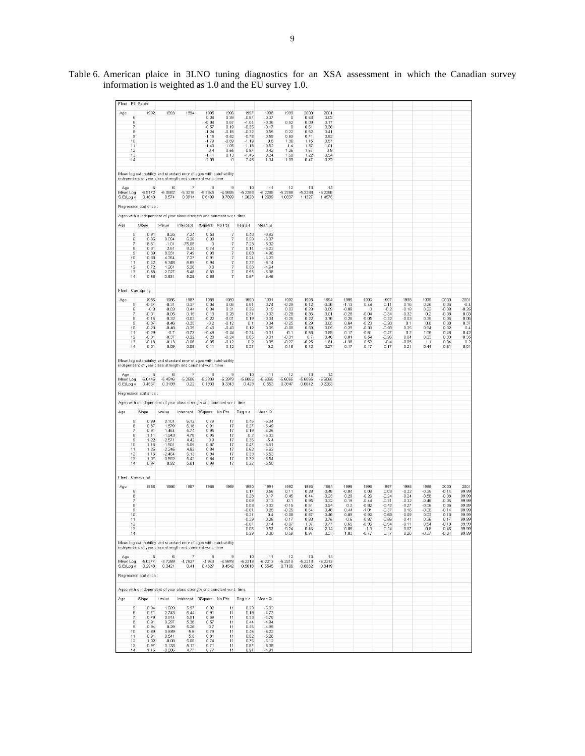| Fleet : EU Spain             |                                 |                                                                                                                                   |                               |                               |                                       |                               |                               |                               |                           |                            |                            |                               |                               |                               |                               |                               |                           |
|------------------------------|---------------------------------|-----------------------------------------------------------------------------------------------------------------------------------|-------------------------------|-------------------------------|---------------------------------------|-------------------------------|-------------------------------|-------------------------------|---------------------------|----------------------------|----------------------------|-------------------------------|-------------------------------|-------------------------------|-------------------------------|-------------------------------|---------------------------|
| Age<br>6                     | 1992                            | 1993                                                                                                                              | 1994                          | 1995<br>0.28<br>$-0.04$       | 1996<br>0.39<br>0.67                  | 1997<br>$-0.87$<br>$-1.04$    | 1998<br>$-0.37$<br>$-0.36$    | 1999<br>$\mathbf 0$<br>0.52   | 2000<br>0.53<br>0.09      | 2001<br>0.03<br>0.17       |                            |                               |                               |                               |                               |                               |                           |
| 7<br>8<br>9                  |                                 |                                                                                                                                   |                               | $-0.57$<br>$-1.24$<br>$-1.15$ | 0.19<br>$-0.16$<br>$-0.52$            | $-0.35$<br>$-0.32$<br>$-0.78$ | $-0.17$<br>0.55<br>0.59       | 0<br>0.22<br>0.63             | 0.51<br>0.52<br>0.71      | 0.38<br>0.41<br>0.52       |                            |                               |                               |                               |                               |                               |                           |
| 10<br>11                     |                                 |                                                                                                                                   |                               | $-1.79$<br>$-1.43$            | $-0.89$<br>$-1.05$                    | $-1.19$<br>$-1.18$            | 0.8<br>0.52                   | 1.36<br>1.4                   | 1.15<br>1.37              | 0.57<br>1.01               |                            |                               |                               |                               |                               |                               |                           |
| 12<br>13<br>14               |                                 |                                                                                                                                   |                               | 0.4<br>$-1.11$<br>$-2.03$     | 0.55<br>0.13<br>$\circ$               | $-0.97$<br>$-1.45$<br>$-2.48$ | 0.42<br>0.24<br>1.04          | 1.25<br>1.58<br>1.03          | 1.57<br>1.22<br>0.47      | 0.9<br>0.54<br>0.32        |                            |                               |                               |                               |                               |                               |                           |
|                              |                                 | Mean log catchability and standard error of ages with catchability<br>independent of year class strength and constant w.r.t. time |                               |                               |                                       |                               |                               |                               |                           |                            |                            |                               |                               |                               |                               |                               |                           |
| Age<br>Mean Log<br>S.E(Log q | 5<br>$-6.9172$<br>0.4843        | 6<br>$-6.0682$<br>0.574                                                                                                           | 7<br>$-5.3218$<br>0.3914      | 8<br>$-5.2345$<br>0.6409      | 9<br>4.9826<br>0.7899                 | 10<br>$-5.228B$<br>1.2628     | 11<br>$-5.2288$<br>1.2689     | 12<br>$-5.2288$<br>1.0337     | 13<br>$-5.2288$<br>1.1327 | 14<br>$-5.2288$<br>1.4575  |                            |                               |                               |                               |                               |                               |                           |
|                              | Regression statistics           |                                                                                                                                   |                               |                               |                                       |                               |                               |                               |                           |                            |                            |                               |                               |                               |                               |                               |                           |
|                              |                                 | Ages with q independent of year class strength and constant w.r.t. time.                                                          |                               |                               |                                       |                               |                               |                               |                           |                            |                            |                               |                               |                               |                               |                               |                           |
| Age<br>5                     | Slope<br>0.91                   | t-value<br>0.25                                                                                                                   | Intercept<br>7.24             | RSquare No Pts<br>0.58        | 7                                     | Reg s.e<br>0.48               | Mean Q<br>$-6.92$             |                               |                           |                            |                            |                               |                               |                               |                               |                               |                           |
| 6<br>7                       | 0.95<br>18.51                   | 0.094<br>$-1.01$                                                                                                                  | 6.28<br>$-75.09$              | 0.39<br>0                     | 7<br>7                                | 0.59<br>7.23                  | $-6.07$<br>$-5.32$            |                               |                           |                            |                            |                               |                               |                               |                               |                               |                           |
| 8<br>9<br>10                 | 0.31<br>0.39<br>0.38            | 2.61<br>8.931<br>4.354                                                                                                            | 8.22<br>7.49<br>7.27          | 0.74<br>0.98<br>0.91          | 7<br>7<br>7                           | 0.14<br>0.08<br>0.24          | $-5.23$<br>$-4.98$<br>$-5.23$ |                               |                           |                            |                            |                               |                               |                               |                               |                               |                           |
| 11<br>12                     | 0.42<br>0.72                    | 5.348<br>1.261                                                                                                                    | 6.69<br>5.28                  | 0.94<br>0.8                   | $\overline{7}$<br>7<br>$\overline{7}$ | 0.22<br>0.56                  | $-5.14$<br>$-4.64$            |                               |                           |                            |                            |                               |                               |                               |                               |                               |                           |
| 13<br>14                     | 0.58<br>0.56                    | 2.027<br>2.631                                                                                                                    | 5.48<br>5.28                  | 0.83<br>0.88                  | 7                                     | 0.53<br>0.57                  | $-5.06$<br>$-5.46$            |                               |                           |                            |                            |                               |                               |                               |                               |                               |                           |
| Fleet: Can Spring            |                                 |                                                                                                                                   |                               |                               |                                       |                               |                               |                               |                           |                            |                            |                               |                               |                               |                               |                               |                           |
| Age<br>5<br>6                | 1985<br>$-0.47$<br>$-0.3$       | 1986<br>$-0.31$<br>$-0.03$                                                                                                        | 1987<br>0.37<br>0.44          | 1988<br>0.04<br>0.34          | 1989<br>0.06<br>0.31                  | 1990<br>0.61<br>0.26          | 1991<br>0.74<br>0.19          | 1992<br>$-0.29$<br>0.03       | 1993<br>0.12<br>0.23      | 1994<br>$-0.36$<br>$-0.09$ | 1995<br>$-1.13$<br>$-0.88$ | 1996<br>0.44<br>0             | 1997<br>0.11<br>$-0.2$        | 1998<br>0.16<br>$-0.18$       | 1999<br>0.26<br>0.22          | 2000<br>0.05<br>$-0.08$       | 2001<br>$-0.4$<br>$-0.25$ |
| 7<br>8                       | $-0.01$<br>$-0.16$              | $-0.05$<br>$-0.32$                                                                                                                | 0.15<br>$-0.02$               | 0.13<br>$-0.22$               | 0.28<br>$-0.01$                       | 0.31<br>0.19                  | $-0.03$<br>$-0.04$            | $-0.28$<br>$-0.25$            | 0.36<br>0.22              | $-0.01$<br>0.16            | $-0.28$<br>0.26            | $-0.04$<br>$-0.05$            | $-0.34$<br>$-0.22$            | $-0.32$<br>$-0.03$            | 0.2<br>0.35                   | $-0.08$<br>0.06               | 0.03<br>0.06              |
| 9<br>10<br>11                | $-0.37$<br>$-0.23$<br>$-0.29$   | $-0.46$<br>$-0.48$<br>$-0.7$                                                                                                      | $-0.35$<br>$-0.39$<br>$-0.73$ | $-0.2$<br>$-0.43$<br>$-0.49$  | $-0.12$<br>$-0.43$<br>$-0.44$         | 0.1<br>0.12<br>$-0.24$        | 0.04<br>0.05<br>$-0.01$       | $-0.25$<br>$-0.08$<br>$-0.1$  | 0.29<br>0.59<br>0.53      | 0.05<br>0.05<br>0.89       | 0.64<br>0.29<br>0.17       | $-0.23$<br>$-0.38$<br>$-0.61$ | $-0.28$<br>$-0.58$<br>$-0.47$ | 0.1<br>0.25<br>0.2            | 0.6<br>0.94<br>1.06           | 0.08<br>0.32<br>0.48          | 0.37<br>0.4<br>0.42       |
| $12\phantom{.0}$<br>13       | $-0.31$<br>$-0.13$              | $-0.37$<br>$-0.13$                                                                                                                | $-0.22$<br>$-0.06$            | $-0.28$<br>$-0.05$            | $-0.24$<br>$-0.12$                    | 0.05<br>0.2                   | 0.01<br>0.05                  | $-0.31$<br>$-0.27$            | 0.7<br>$-0.25$            | 0.46<br>1.81               | 0.01<br>$-1.36$            | 0.54<br>0.52                  | $-0.26$<br>$-0.4$             | 0.04<br>$-0.05$               | 0.83<br>1.1<br>0.44           | 0.33<br>0.04                  | 0.35<br>0.2               |
| 14                           | 0.01                            | $-0.09$<br>Mean log catchability and standard error of ages with catchability                                                     | 0.08                          | 0.11                          | 0.12                                  | 0.21                          | 0.2                           | $-0.18$                       | 0.12                      | 0.27                       | $-0.17$                    | 0.17                          | $-0.17$                       | $-0.21$                       |                               | $-0.51$                       | 0.01                      |
| Age                          | 5                               | independent of year class strength and constant w.r.t. time<br>6                                                                  | 7                             | 8                             | 9                                     | 10                            | 11                            | 12                            | 13                        | 14                         |                            |                               |                               |                               |                               |                               |                           |
| Mean Log<br>S.E(Log q        | $-6.0445$<br>0.4567             | $-5.4916$<br>0.3189                                                                                                               | $-5.2506$<br>0.22             | $-5.3309$<br>0.1933           | $-5.3979$<br>0.3313                   | $-5.6065$<br>0.429            | $-5.6065$<br>0.553            | $-5.6065$<br>0.3947           | $-5.6065$<br>0.6642       | $-5.6065$<br>0.2283        |                            |                               |                               |                               |                               |                               |                           |
|                              | Regression statistics           |                                                                                                                                   |                               |                               |                                       |                               |                               |                               |                           |                            |                            |                               |                               |                               |                               |                               |                           |
| Age                          | Slope                           | Ages with q independent of year class strength and constant w.r.t. time.<br>t-value                                               | Intercept                     | RSquare No Pts                |                                       | Reg s.e                       | Mean Q                        |                               |                           |                            |                            |                               |                               |                               |                               |                               |                           |
| 5                            | 0.99                            | 0.104                                                                                                                             | 6.12                          | 0.79                          | 17                                    | 0.46                          | $-6.04$                       |                               |                           |                            |                            |                               |                               |                               |                               |                               |                           |
| 6<br>7<br>8                  | 0.87<br>0.91<br>1.11            | 1.579<br>1.464<br>$-1.943$                                                                                                        | 6.18<br>5.74<br>4.78          | 0.91<br>0.95<br>0.95          | 17<br>17<br>17                        | 0.27<br>0.19<br>0.2           | $-5.49$<br>$-5.25$<br>$-5.33$ |                               |                           |                            |                            |                               |                               |                               |                               |                               |                           |
| 9<br>10<br>11                | 1.22<br>1.15<br>1.25            | $-2.571$<br>$-1.501$<br>$-2.245$                                                                                                  | 4.42<br>5.05<br>4.83          | 0.9<br>0.87<br>0.84           | 17<br>17<br>17                        | 0.35<br>0.47<br>0.62          | $-5.4$<br>$-5.61$<br>$-5.63$  |                               |                           |                            |                            |                               |                               |                               |                               |                               |                           |
| 12<br>13                     | 1.16<br>1.07                    | $-2.464$<br>$-0.592$                                                                                                              | 5.13<br>5.42                  | 0.94<br>0.84                  | 17<br>17                              | 0.39<br>0.72                  | $-5.53$<br>$-5.54$            |                               |                           |                            |                            |                               |                               |                               |                               |                               |                           |
| 14                           | 0.97                            | 0.92                                                                                                                              | 5.61                          | 0.99                          | 17                                    | 0.22                          | $-5.58$                       |                               |                           |                            |                            |                               |                               |                               |                               |                               |                           |
| Fleet : Canada fall<br>Age   | 1985                            | 1986                                                                                                                              | 1987                          | 1988                          | 1989                                  | 1990                          | 1991                          | 1992                          | 1993                      | 1994                       | 1995                       | 1996                          | 1997                          | 1998                          | 1999                          | 2000                          | 2001                      |
| 5<br>6<br>7                  |                                 |                                                                                                                                   |                               |                               |                                       | 0.17<br>0.28<br>0.09          | 0.56<br>0.17<br>0.13          | 0.11<br>0.45<br>$-0.1$        | 0.28<br>0.44<br>0.95      | $-0.48$<br>$-0.23$<br>0.32 | $-0.04$<br>0.29<br>0.19    | 0.08<br>$-0.26$<br>$-0.44$    | 0.03<br>$-0.24$<br>$-0.31$    | $-0.22$<br>$-0.24$<br>$-0.32$ | $-0.35$<br>$-0.58$<br>$-0.46$ | $-0.14$<br>$-0.08$<br>$-0.05$ | 99.99<br>99.99<br>99.99   |
| 8<br>9                       |                                 |                                                                                                                                   |                               |                               |                                       | 0.03<br>$-0.01$               | $-0.03$<br>0.25               | $-0.15$<br>$-0.25$            | 0.51<br>0.54              | 0.94<br>0.48               | 0.2<br>0.44                | $-0.82$<br>$-1.01$            | $-0.42$<br>$-0.37$            | $-0.27$<br>0.16               | $-0.06$<br>$-0.08$            | 0.06<br>$-0.14$               | 99.99<br>99.99            |
| 10<br>11<br>12               |                                 |                                                                                                                                   |                               |                               |                                       | $-0.21$<br>$-0.29$<br>$-0.07$ | 0.4<br>0.26<br>0.14           | $-0.08$<br>$-0.17$<br>$-0.07$ | 0.87<br>0.83<br>1.37      | 0.46<br>0.75<br>0.77       | 0.09<br>$-0.5$<br>0.65     | $-0.92$<br>$-0.87$<br>$-0.96$ | $-0.68$<br>$-0.56$<br>$-0.94$ | $-0.09$<br>$-0.41$<br>$-0.11$ | 0.03<br>0.36<br>0.54          | 0.13<br>0.17<br>$-0.18$       | 99.99<br>99.99<br>99.99   |
| 13<br>14                     |                                 |                                                                                                                                   |                               |                               |                                       | 0.06<br>0.29                  | 0.57<br>0.38                  | $-0.24$<br>0.59               | 0.46<br>0.97              | 2.14<br>0.37               | 0.05<br>1.83               | $-1.3$<br>$-0.77$             | -0.24<br>0.77                 | -0.07<br>0.26                 | 0.6<br>$-0.37$                | $-0.46$<br>$-0.84$            | 99.99<br>99.99            |
|                              |                                 | Mean log catchability and standard error of ages with catchability<br>independent of year class strength and constant w.r.t. time |                               |                               |                                       |                               |                               |                               |                           |                            |                            |                               |                               |                               |                               |                               |                           |
| Age<br>Mean Log              | 5<br>-5.0277                    | 6<br>$-4.7259$                                                                                                                    | $-4.7827$                     | 8<br>$-4.943$                 | 9<br>$-4.9878$                        | 10<br>-5.2213                 | 11<br>$-5.2213$               | 12<br>-5.2213                 | 13<br>$-5.2213$           | 14<br>$-5.2213$            |                            |                               |                               |                               |                               |                               |                           |
| S.E(Log q                    | 0.2948<br>Regression statistics | 0.3421                                                                                                                            | 0.41                          | 0.4627                        | 0.4542                                | 0.5018                        | 0.5545                        | 0.7106                        | 0.8662                    | 0.8419                     |                            |                               |                               |                               |                               |                               |                           |
|                              |                                 | Ages with q independent of year class strength and constant w.r.t. time.                                                          |                               |                               |                                       |                               |                               |                               |                           |                            |                            |                               |                               |                               |                               |                               |                           |
| Age                          | Slope                           | t-value                                                                                                                           |                               |                               | Intercept RSquare No Pts              | Reg s.e                       | Mean Q                        |                               |                           |                            |                            |                               |                               |                               |                               |                               |                           |
| 5<br>6                       | 0.84<br>0.71                    | 1,689<br>2.743                                                                                                                    | 5.97<br>6.44                  | 0.92<br>0.91                  | 11<br>11                              | 0.23<br>0.19                  | $-5.03$<br>$-4.73$            |                               |                           |                            |                            |                               |                               |                               |                               |                               |                           |
| 7<br>8                       | 0.79<br>0.91                    | ft 914<br>0.297                                                                                                                   | 5.91<br>5.36                  | 0.69<br>0.57                  | 11<br>11                              | 0.33<br>0.44                  | $-4.78$<br>$-4.94$            |                               |                           |                            |                            |                               |                               |                               |                               |                               |                           |
| 9<br>10<br>11                | 0.94<br>0.89<br>0.91            | 0.29<br>0.639<br>0.541                                                                                                            | 5.26<br>5.6<br>5.5            | 0.7<br>0.79<br>0.81           | 11<br>11<br>11                        | 0.45<br>0.46<br>0.52          | $-4.99$<br>$-5.22$<br>$-5.26$ |                               |                           |                            |                            |                               |                               |                               |                               |                               |                           |
| 12<br>13<br>14               | 1.02<br>0.97<br>1.16            | $-0.08$<br>0.133<br>$-0.886$                                                                                                      | 5.08<br>5.12<br>4.77          | 0.74<br>0.71<br>0.77          | 11<br>11<br>11                        | 0.75<br>0.87<br>0.91          | $-5.12$<br>$-5.08$<br>$-4.91$ |                               |                           |                            |                            |                               |                               |                               |                               |                               |                           |

Table 6. American plaice in 3LNO tuning diagnostics for an XSA assessment in which the Canadian survey information is weighted as 1.0 and the EU survey 1.0.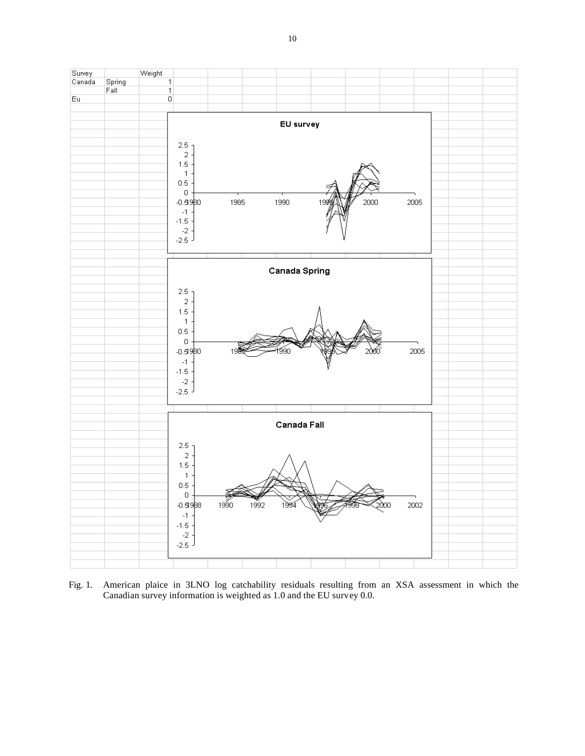

Fig. 1. American plaice in 3LNO log catchability residuals resulting from an XSA assessment in which the Canadian survey information is weighted as 1.0 and the EU survey 0.0.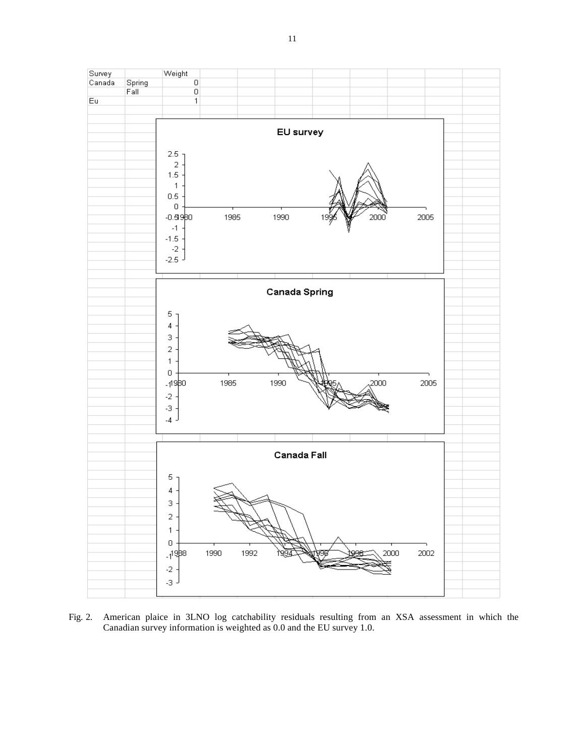

Fig. 2. American plaice in 3LNO log catchability residuals resulting from an XSA assessment in which the Canadian survey information is weighted as 0.0 and the EU survey 1.0.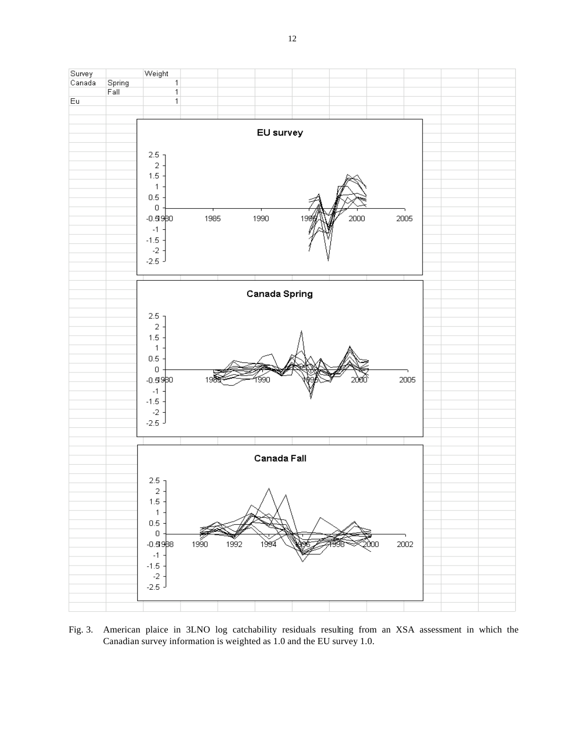

Fig. 3. American plaice in 3LNO log catchability residuals resulting from an XSA assessment in which the Canadian survey information is weighted as 1.0 and the EU survey 1.0.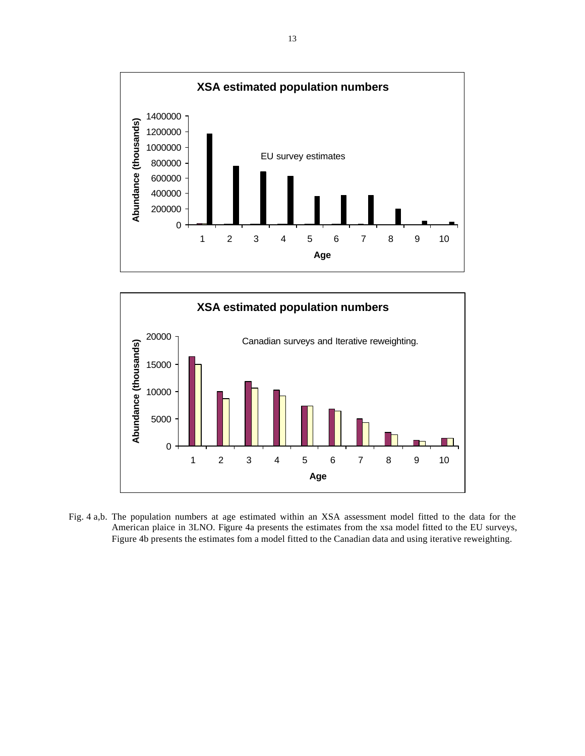



Fig. 4 a,b. The population numbers at age estimated within an XSA assessment model fitted to the data for the American plaice in 3LNO. Figure 4a presents the estimates from the xsa model fitted to the EU surveys, Figure 4b presents the estimates fom a model fitted to the Canadian data and using iterative reweighting.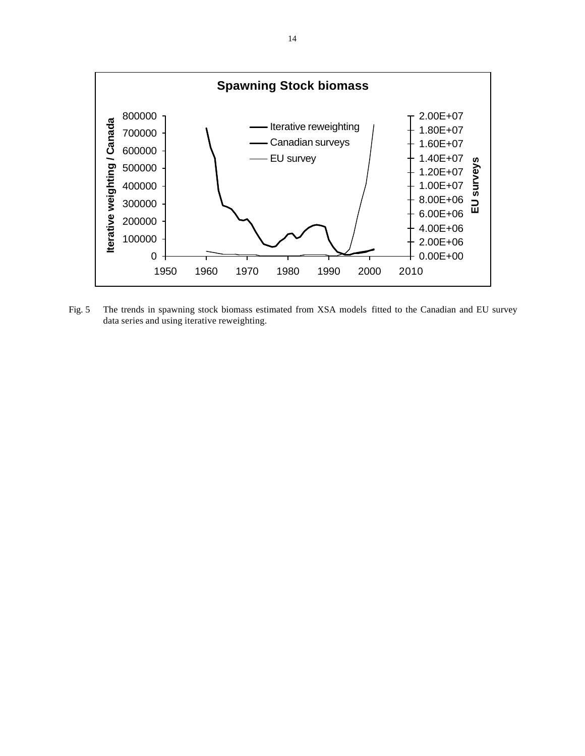

Fig. 5 The trends in spawning stock biomass estimated from XSA models fitted to the Canadian and EU survey data series and using iterative reweighting.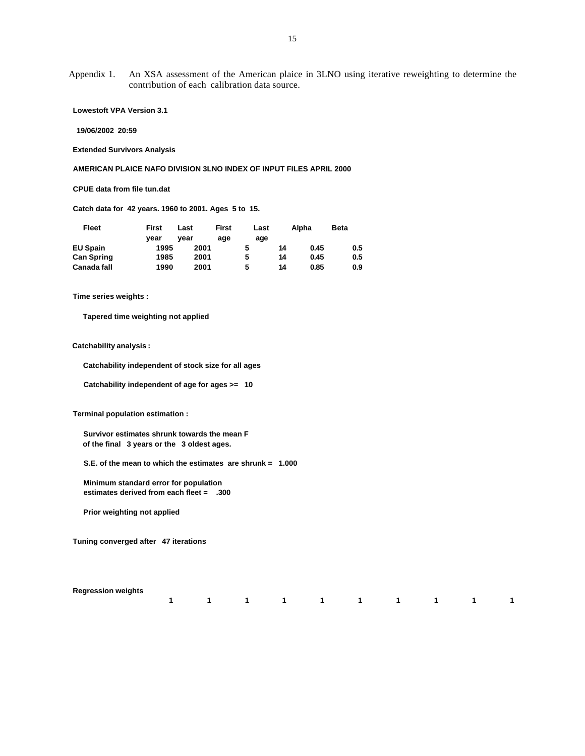Appendix 1. An XSA assessment of the American plaice in 3LNO using iterative reweighting to determine the contribution of each calibration data source.

 **Lowestoft VPA Version 3.1** 

 **19/06/2002 20:59** 

 **Extended Survivors Analysis**

 **AMERICAN PLAICE NAFO DIVISION 3LNO INDEX OF INPUT FILES APRIL 2000** 

 **CPUE data from file tun.dat** 

 **Catch data for 42 years. 1960 to 2001. Ages 5 to 15.**

| Fleet              | First | Last | <b>First</b> | Last |    | Alpha | <b>Beta</b> |
|--------------------|-------|------|--------------|------|----|-------|-------------|
|                    | vear  | vear | age          | age  |    |       |             |
| <b>EU Spain</b>    | 1995  | 2001 |              |      | 14 | 0.45  | 0.5         |
| <b>Can Spring</b>  | 1985  | 2001 |              | 5    | 14 | 0.45  | 0.5         |
| <b>Canada fall</b> | 1990  | 2001 |              | 5    | 14 | 0.85  | 0.9         |

 **Time series weights :** 

 **Tapered time weighting not applied**

 **Catchability analysis :**

 **Catchability independent of stock size for all ages** 

 **Catchability independent of age for ages >= 10**

 **Terminal population estimation :**

 **Survivor estimates shrunk towards the mean F of the final 3 years or the 3 oldest ages.**

 **S.E. of the mean to which the estimates are shrunk = 1.000**

 **Minimum standard error for population estimates derived from each fleet = .300**

 **Prior weighting not applied**

 **Tuning converged after 47 iterations**

 **Regression weights** 

| 1 1 1 1 1 1 1 1 1 1 1 |  |  |  |  |  |
|-----------------------|--|--|--|--|--|
|                       |  |  |  |  |  |
|                       |  |  |  |  |  |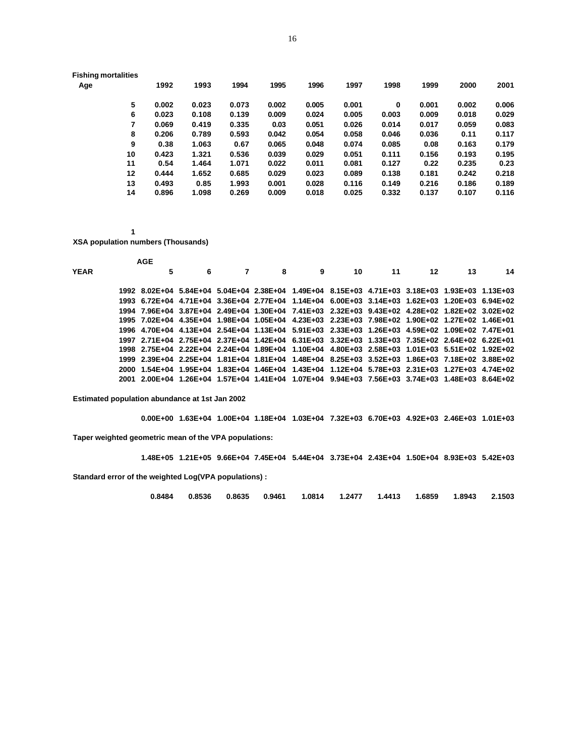| <b>Fishing mortalities</b> |
|----------------------------|
|                            |

| 1992  | 1993  | 1994  | 1995  | 1996  | 1997  | 1998  | 1999  | 2000  | 2001  |
|-------|-------|-------|-------|-------|-------|-------|-------|-------|-------|
| 0.002 | 0.023 | 0.073 | 0.002 | 0.005 | 0.001 | 0     | 0.001 | 0.002 | 0.006 |
| 0.023 | 0.108 | 0.139 | 0.009 | 0.024 | 0.005 | 0.003 | 0.009 | 0.018 | 0.029 |
| 0.069 | 0.419 | 0.335 | 0.03  | 0.051 | 0.026 | 0.014 | 0.017 | 0.059 | 0.083 |
| 0.206 | 0.789 | 0.593 | 0.042 | 0.054 | 0.058 | 0.046 | 0.036 | 0.11  | 0.117 |
| 0.38  | 1.063 | 0.67  | 0.065 | 0.048 | 0.074 | 0.085 | 0.08  | 0.163 | 0.179 |
| 0.423 | 1.321 | 0.536 | 0.039 | 0.029 | 0.051 | 0.111 | 0.156 | 0.193 | 0.195 |
| 0.54  | 1.464 | 1.071 | 0.022 | 0.011 | 0.081 | 0.127 | 0.22  | 0.235 | 0.23  |
| 0.444 | 1.652 | 0.685 | 0.029 | 0.023 | 0.089 | 0.138 | 0.181 | 0.242 | 0.218 |
| 0.493 | 0.85  | 1.993 | 0.001 | 0.028 | 0.116 | 0.149 | 0.216 | 0.186 | 0.189 |
| 0.896 | 1.098 | 0.269 | 0.009 | 0.018 | 0.025 | 0.332 | 0.137 | 0.107 | 0.116 |
|       |       |       |       |       |       |       |       |       |       |

 **XSA population numbers (Thousands)**

|             |        | <b>AGE</b>                                                                                     |   |   |   |                                                                                           |    |    |    |    |
|-------------|--------|------------------------------------------------------------------------------------------------|---|---|---|-------------------------------------------------------------------------------------------|----|----|----|----|
| <b>YEAR</b> |        | 5                                                                                              | 6 | 8 | 9 | 10                                                                                        | 11 | 12 | 13 | 14 |
|             |        | 1992 8.02E+04 5.84E+04 5.04E+04 2.38E+04 1.49E+04 8.15E+03 4.71E+03 3.18E+03 1.93E+03 1.13E+03 |   |   |   |                                                                                           |    |    |    |    |
|             |        | 1993 6.72E+04 4.71E+04 3.36E+04 2.77E+04 1.14E+04 6.00E+03 3.14E+03 1.62E+03 1.20E+03 6.94E+02 |   |   |   |                                                                                           |    |    |    |    |
|             |        | 1994 7.96E+04 3.87E+04 2.49E+04 1.30E+04 7.41E+03 2.32E+03 9.43E+02 4.28E+02 1.82E+02 3.02E+02 |   |   |   |                                                                                           |    |    |    |    |
|             |        | 1995 7.02E+04 4.35E+04 1.98E+04 1.05E+04 4.23E+03 2.23E+03 7.98E+02 1.90E+02 1.27E+02 1.46E+01 |   |   |   |                                                                                           |    |    |    |    |
|             |        | 1996 4.70E+04 4.13E+04 2.54E+04 1.13E+04 5.91E+03 2.33E+03 1.26E+03 4.59E+02 1.09E+02 7.47E+01 |   |   |   |                                                                                           |    |    |    |    |
|             |        | 1997 2.71E+04 2.75E+04 2.37E+04 1.42E+04 6.31E+03 3.32E+03 1.33E+03 7.35E+02 2.64E+02 6.22E+01 |   |   |   |                                                                                           |    |    |    |    |
|             |        | 1998 2.75E+04 2.22E+04 2.24E+04 1.89E+04 1.10E+04 4.80E+03 2.58E+03 1.01E+03 5.51E+02 1.92E+02 |   |   |   |                                                                                           |    |    |    |    |
|             |        | 1999 2.39E+04 2.25E+04 1.81E+04 1.81E+04 1.48E+04 8.25E+03 3.52E+03 1.86E+03 7.18E+02 3.88E+02 |   |   |   |                                                                                           |    |    |    |    |
|             | 2000 - |                                                                                                |   |   |   | 1.54E+04 1.95E+04 1.83E+04 1.46E+04 1.43E+04 1.12E+04 5.78E+03 2.31E+03 1.27E+03 4.74E+02 |    |    |    |    |
|             |        | 2001 2.00E+04 1.26E+04 1.57E+04 1.41E+04 1.07E+04 9.94E+03 7.56E+03 3.74E+03 1.48E+03 8.64E+02 |   |   |   |                                                                                           |    |    |    |    |
|             |        |                                                                                                |   |   |   |                                                                                           |    |    |    |    |

 **Estimated population abundance at 1st Jan 2002**

 **0.00E+00 1.63E+04 1.00E+04 1.18E+04 1.03E+04 7.32E+03 6.70E+03 4.92E+03 2.46E+03 1.01E+03 Taper weighted geometric mean of the VPA populations:** 

 **1.48E+05 1.21E+05 9.66E+04 7.45E+04 5.44E+04 3.73E+04 2.43E+04 1.50E+04 8.93E+03 5.42E+03**

 **Standard error of the weighted Log(VPA populations) :**

|  |  | $0.8484$ $0.8536$ $0.8635$ $0.9461$ $1.0814$ $1.2477$ $1.4413$ $1.6859$ $1.8943$ 2.1503 |  |  |  |
|--|--|-----------------------------------------------------------------------------------------|--|--|--|
|  |  |                                                                                         |  |  |  |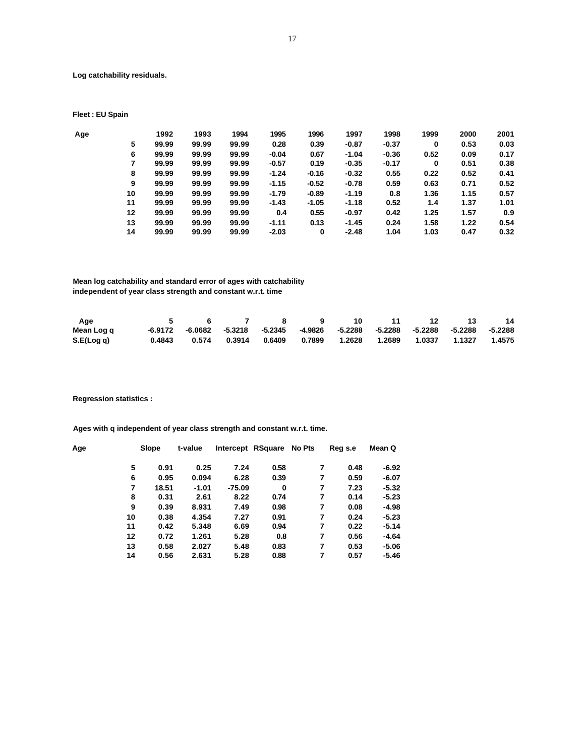**Log catchability residuals.**

 **Fleet : EU Spain**

| Age |    | 1992  | 1993  | 1994  | 1995    | 1996    | 1997    | 1998    | 1999 | 2000 | 2001 |
|-----|----|-------|-------|-------|---------|---------|---------|---------|------|------|------|
|     | 5  | 99.99 | 99.99 | 99.99 | 0.28    | 0.39    | $-0.87$ | $-0.37$ | 0    | 0.53 | 0.03 |
|     | 6  | 99.99 | 99.99 | 99.99 | $-0.04$ | 0.67    | $-1.04$ | $-0.36$ | 0.52 | 0.09 | 0.17 |
|     | 7  | 99.99 | 99.99 | 99.99 | $-0.57$ | 0.19    | $-0.35$ | $-0.17$ | 0    | 0.51 | 0.38 |
|     | 8  | 99.99 | 99.99 | 99.99 | $-1.24$ | $-0.16$ | $-0.32$ | 0.55    | 0.22 | 0.52 | 0.41 |
|     | 9  | 99.99 | 99.99 | 99.99 | $-1.15$ | $-0.52$ | $-0.78$ | 0.59    | 0.63 | 0.71 | 0.52 |
|     | 10 | 99.99 | 99.99 | 99.99 | $-1.79$ | $-0.89$ | $-1.19$ | 0.8     | 1.36 | 1.15 | 0.57 |
|     | 11 | 99.99 | 99.99 | 99.99 | $-1.43$ | $-1.05$ | $-1.18$ | 0.52    | 1.4  | 1.37 | 1.01 |
|     | 12 | 99.99 | 99.99 | 99.99 | 0.4     | 0.55    | $-0.97$ | 0.42    | 1.25 | 1.57 | 0.9  |
|     | 13 | 99.99 | 99.99 | 99.99 | $-1.11$ | 0.13    | $-1.45$ | 0.24    | 1.58 | 1.22 | 0.54 |
|     | 14 | 99.99 | 99.99 | 99.99 | $-2.03$ | 0       | $-2.48$ | 1.04    | 1.03 | 0.47 | 0.32 |

 **Mean log catchability and standard error of ages with catchability independent of year class strength and constant w.r.t. time**

| Age        |  |  | 5 6 7 8 9 10 11 12 13                                                                    |  |  | - 14 |
|------------|--|--|------------------------------------------------------------------------------------------|--|--|------|
| Mean Log q |  |  | -6.9172 -6.0682 -5.3218 -5.2345 -4.9826 -5.2288 -5.2288 -5.2288 -5.2288 -5.2288          |  |  |      |
| S.E(Log q) |  |  | $0.4843$ $0.574$ $0.3914$ $0.6409$ $0.7899$ $1.2628$ $1.2689$ $1.0337$ $1.1327$ $1.4575$ |  |  |      |

 **Regression statistics :**

 **Ages with q independent of year class strength and constant w.r.t. time.**

| Age | Slope | t-value |        | Intercept RSquare No Pts |   | Reg s.e | Mean Q  |
|-----|-------|---------|--------|--------------------------|---|---------|---------|
| 5   | 0.91  | 0.25    | 7.24   | 0.58                     | 7 | 0.48    | $-6.92$ |
| 6   | 0.95  | 0.094   | 6.28   | 0.39                     | 7 | 0.59    | $-6.07$ |
| 7   | 18.51 | $-1.01$ | -75.09 | 0                        | 7 | 7.23    | $-5.32$ |
| 8   | 0.31  | 2.61    | 8.22   | 0.74                     | 7 | 0.14    | $-5.23$ |
| 9   | 0.39  | 8.931   | 7.49   | 0.98                     | 7 | 0.08    | $-4.98$ |
| 10  | 0.38  | 4.354   | 7.27   | 0.91                     | 7 | 0.24    | $-5.23$ |
| 11  | 0.42  | 5.348   | 6.69   | 0.94                     | 7 | 0.22    | $-5.14$ |
| 12  | 0.72  | 1.261   | 5.28   | 0.8                      | 7 | 0.56    | $-4.64$ |
| 13  | 0.58  | 2.027   | 5.48   | 0.83                     | 7 | 0.53    | $-5.06$ |
| 14  | 0.56  | 2.631   | 5.28   | 0.88                     | 7 | 0.57    | -5.46   |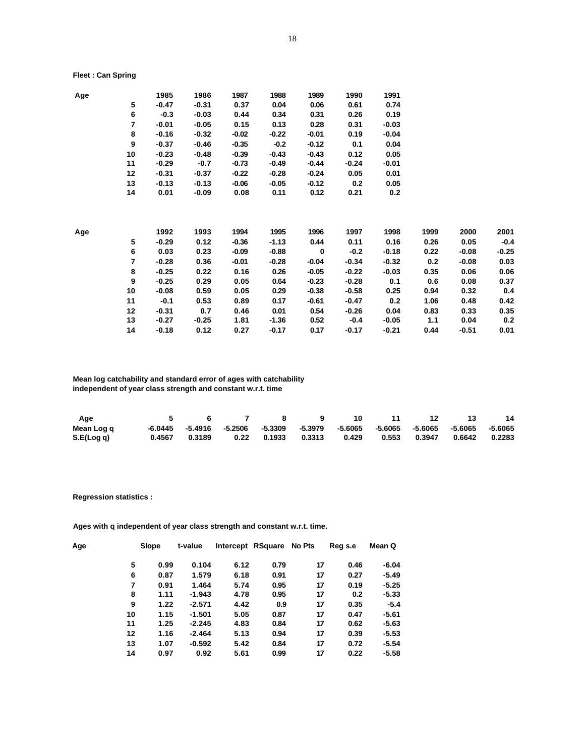### **Fleet : Can Spring**

| Age |                | 1985    | 1986    | 1987    | 1988    | 1989    | 1990    | 1991    |      |         |         |
|-----|----------------|---------|---------|---------|---------|---------|---------|---------|------|---------|---------|
|     | 5              | $-0.47$ | $-0.31$ | 0.37    | 0.04    | 0.06    | 0.61    | 0.74    |      |         |         |
|     | 6              | $-0.3$  | $-0.03$ | 0.44    | 0.34    | 0.31    | 0.26    | 0.19    |      |         |         |
|     | $\overline{7}$ | $-0.01$ | $-0.05$ | 0.15    | 0.13    | 0.28    | 0.31    | $-0.03$ |      |         |         |
|     | 8              | $-0.16$ | $-0.32$ | $-0.02$ | $-0.22$ | $-0.01$ | 0.19    | $-0.04$ |      |         |         |
|     | 9              | $-0.37$ | $-0.46$ | $-0.35$ | $-0.2$  | $-0.12$ | 0.1     | 0.04    |      |         |         |
|     | 10             | $-0.23$ | $-0.48$ | $-0.39$ | $-0.43$ | $-0.43$ | 0.12    | 0.05    |      |         |         |
|     | 11             | $-0.29$ | $-0.7$  | $-0.73$ | $-0.49$ | $-0.44$ | $-0.24$ | $-0.01$ |      |         |         |
|     | 12             | $-0.31$ | $-0.37$ | $-0.22$ | $-0.28$ | $-0.24$ | 0.05    | 0.01    |      |         |         |
|     | 13             | $-0.13$ | $-0.13$ | $-0.06$ | $-0.05$ | $-0.12$ | 0.2     | 0.05    |      |         |         |
|     | 14             | 0.01    | -0.09   | 0.08    | 0.11    | 0.12    | 0.21    | 0.2     |      |         |         |
| Age |                | 1992    | 1993    | 1994    | 1995    | 1996    | 1997    | 1998    | 1999 | 2000    | 2001    |
|     | 5              | $-0.29$ | 0.12    | $-0.36$ | $-1.13$ | 0.44    | 0.11    | 0.16    | 0.26 | 0.05    | $-0.4$  |
|     | 6              | 0.03    | 0.23    | $-0.09$ | $-0.88$ | 0       | $-0.2$  | $-0.18$ | 0.22 | -0.08   | $-0.25$ |
|     | 7              | $-0.28$ | 0.36    | $-0.01$ | $-0.28$ | $-0.04$ | $-0.34$ | $-0.32$ | 0.2  | $-0.08$ | 0.03    |
|     | 8              | $-0.25$ | 0.22    | 0.16    | 0.26    | $-0.05$ | $-0.22$ | $-0.03$ | 0.35 | 0.06    | 0.06    |
|     | 9              | $-0.25$ | 0.29    | 0.05    | 0.64    | $-0.23$ | $-0.28$ | 0.1     | 0.6  | 0.08    | 0.37    |
|     | 10             | $-0.08$ | 0.59    | 0.05    | 0.29    | $-0.38$ | $-0.58$ | 0.25    | 0.94 | 0.32    | 0.4     |
|     | 11             | $-0.1$  | 0.53    | 0.89    | 0.17    | -0.61   | $-0.47$ | 0.2     | 1.06 | 0.48    | 0.42    |
|     | 12             | $-0.31$ | 0.7     | 0.46    | 0.01    | 0.54    | $-0.26$ | 0.04    | 0.83 | 0.33    | 0.35    |
|     | 13             | $-0.27$ | -0.25   | 1.81    | $-1.36$ | 0.52    | $-0.4$  | -0.05   | 1.1  | 0.04    | 0.2     |
|     | 14             | $-0.18$ | 0.12    | 0.27    | $-0.17$ | 0.17    | $-0.17$ | $-0.21$ | 0.44 | $-0.51$ | 0.01    |

## **Mean log catchability and standard error of ages with catchability independent of year class strength and constant w.r.t. time**

| Age        | 5 6 7 | $\overline{\mathbf{8}}$ and $\overline{\mathbf{8}}$ and $\overline{\mathbf{8}}$ and $\overline{\mathbf{8}}$ and $\overline{\mathbf{8}}$ and $\overline{\mathbf{8}}$ and $\overline{\mathbf{8}}$ and $\overline{\mathbf{8}}$ and $\overline{\mathbf{8}}$ and $\overline{\mathbf{8}}$ and $\overline{\mathbf{8}}$ and $\overline{\mathbf{8}}$ and $\overline{\mathbf{8}}$ and $\overline{\mathbf{8}}$ a | - 9                                                                                      | - 10 | 11 12 13 |  | -14 |
|------------|-------|-------------------------------------------------------------------------------------------------------------------------------------------------------------------------------------------------------------------------------------------------------------------------------------------------------------------------------------------------------------------------------------------------------|------------------------------------------------------------------------------------------|------|----------|--|-----|
| Mean Log q |       |                                                                                                                                                                                                                                                                                                                                                                                                       | -6.0445  -5.4916  -5.2506  -5.3309  -5.3979  -5.6065  -5.6065  -5.6065  -5.6065  -5.6065 |      |          |  |     |
| S.E(Log q) |       |                                                                                                                                                                                                                                                                                                                                                                                                       | $0.4567$ $0.3189$ $0.22$ $0.1933$ $0.3313$ $0.429$ $0.553$ $0.3947$ $0.6642$ $0.2283$    |      |          |  |     |

### **Regression statistics :**

 **Ages with q independent of year class strength and constant w.r.t. time.**

| Age |    | Slope | t-value  |      | Intercept RSquare No Pts |    | Reg s.e | Mean Q  |  |
|-----|----|-------|----------|------|--------------------------|----|---------|---------|--|
|     | 5  | 0.99  | 0.104    | 6.12 | 0.79                     | 17 | 0.46    | $-6.04$ |  |
|     | 6  | 0.87  | 1.579    | 6.18 | 0.91                     | 17 | 0.27    | $-5.49$ |  |
|     | 7  | 0.91  | 1.464    | 5.74 | 0.95                     | 17 | 0.19    | $-5.25$ |  |
|     | 8  | 1.11  | $-1.943$ | 4.78 | 0.95                     | 17 | 0.2     | $-5.33$ |  |
|     | 9  | 1.22  | $-2.571$ | 4.42 | 0.9                      | 17 | 0.35    | $-5.4$  |  |
|     | 10 | 1.15  | $-1.501$ | 5.05 | 0.87                     | 17 | 0.47    | $-5.61$ |  |
|     | 11 | 1.25  | $-2.245$ | 4.83 | 0.84                     | 17 | 0.62    | $-5.63$ |  |
|     | 12 | 1.16  | $-2.464$ | 5.13 | 0.94                     | 17 | 0.39    | $-5.53$ |  |
|     | 13 | 1.07  | $-0.592$ | 5.42 | 0.84                     | 17 | 0.72    | $-5.54$ |  |
|     | 14 | 0.97  | 0.92     | 5.61 | 0.99                     | 17 | 0.22    | $-5.58$ |  |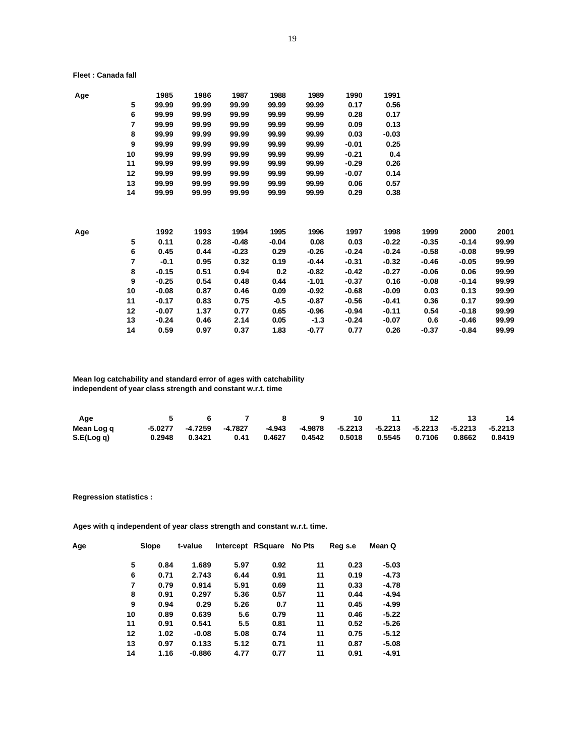#### **Fleet : Canada fall**

| Age |                  | 1985    | 1986  | 1987    | 1988    | 1989    | 1990    | 1991    |         |         |       |
|-----|------------------|---------|-------|---------|---------|---------|---------|---------|---------|---------|-------|
|     | 5                | 99.99   | 99.99 | 99.99   | 99.99   | 99.99   | 0.17    | 0.56    |         |         |       |
|     | 6                | 99.99   | 99.99 | 99.99   | 99.99   | 99.99   | 0.28    | 0.17    |         |         |       |
|     | 7                | 99.99   | 99.99 | 99.99   | 99.99   | 99.99   | 0.09    | 0.13    |         |         |       |
|     | 8                | 99.99   | 99.99 | 99.99   | 99.99   | 99.99   | 0.03    | $-0.03$ |         |         |       |
|     | 9                | 99.99   | 99.99 | 99.99   | 99.99   | 99.99   | $-0.01$ | 0.25    |         |         |       |
|     | 10               | 99.99   | 99.99 | 99.99   | 99.99   | 99.99   | $-0.21$ | 0.4     |         |         |       |
|     | 11               | 99.99   | 99.99 | 99.99   | 99.99   | 99.99   | $-0.29$ | 0.26    |         |         |       |
|     | 12               | 99.99   | 99.99 | 99.99   | 99.99   | 99.99   | $-0.07$ | 0.14    |         |         |       |
|     | 13               | 99.99   | 99.99 | 99.99   | 99.99   | 99.99   | 0.06    | 0.57    |         |         |       |
|     | 14               | 99.99   | 99.99 | 99.99   | 99.99   | 99.99   | 0.29    | 0.38    |         |         |       |
| Age |                  | 1992    | 1993  | 1994    | 1995    | 1996    | 1997    | 1998    | 1999    | 2000    | 2001  |
|     | 5                | 0.11    | 0.28  | $-0.48$ | $-0.04$ | 0.08    | 0.03    | $-0.22$ | -0.35   | $-0.14$ | 99.99 |
|     | 6                | 0.45    | 0.44  | $-0.23$ | 0.29    | $-0.26$ | $-0.24$ | $-0.24$ | $-0.58$ | $-0.08$ | 99.99 |
|     | 7                | $-0.1$  | 0.95  | 0.32    | 0.19    | $-0.44$ | $-0.31$ | $-0.32$ | $-0.46$ | $-0.05$ | 99.99 |
|     | 8                | $-0.15$ | 0.51  | 0.94    | 0.2     | $-0.82$ | $-0.42$ | $-0.27$ | $-0.06$ | 0.06    | 99.99 |
|     | $\boldsymbol{9}$ | $-0.25$ | 0.54  | 0.48    | 0.44    | $-1.01$ | $-0.37$ | 0.16    | $-0.08$ | $-0.14$ | 99.99 |
|     | 10               | $-0.08$ | 0.87  | 0.46    | 0.09    | $-0.92$ | $-0.68$ | $-0.09$ | 0.03    | 0.13    | 99.99 |
|     | 11               | $-0.17$ | 0.83  | 0.75    | $-0.5$  | $-0.87$ | $-0.56$ | $-0.41$ | 0.36    | 0.17    | 99.99 |
|     | 12               | $-0.07$ | 1.37  | 0.77    | 0.65    | $-0.96$ | $-0.94$ | $-0.11$ | 0.54    | $-0.18$ | 99.99 |
|     | 13               | $-0.24$ | 0.46  | 2.14    | 0.05    | $-1.3$  | $-0.24$ | $-0.07$ | 0.6     | -0.46   | 99.99 |
|     | 14               | 0.59    | 0.97  | 0.37    | 1.83    | $-0.77$ | 0.77    | 0.26    | $-0.37$ | $-0.84$ | 99.99 |

## **Mean log catchability and standard error of ages with catchability independent of year class strength and constant w.r.t. time**

| Age        |  | 5 6 7 8                                                                                 |  |  | 9 10 11 12 13 | - 14 |
|------------|--|-----------------------------------------------------------------------------------------|--|--|---------------|------|
| Mean Log q |  | -5.0277 -4.7259 -4.7827 -4.943 -4.9878 -5.2213 -5.2213 -5.2213 -5.2213 -5.2213 -5.2213  |  |  |               |      |
| S.E(Log q) |  | $0.2948$ $0.3421$ $0.41$ $0.4627$ $0.4542$ $0.5018$ $0.5545$ $0.7106$ $0.8662$ $0.8419$ |  |  |               |      |

### **Regression statistics :**

 **Ages with q independent of year class strength and constant w.r.t. time.**

| Age |    | Slope | t-value  |      | Intercept RSquare No Pts |    | Reg s.e | Mean Q  |  |
|-----|----|-------|----------|------|--------------------------|----|---------|---------|--|
|     | 5  | 0.84  | 1.689    | 5.97 | 0.92                     | 11 | 0.23    | $-5.03$ |  |
|     | 6  | 0.71  | 2.743    | 6.44 | 0.91                     | 11 | 0.19    | $-4.73$ |  |
|     | 7  | 0.79  | 0.914    | 5.91 | 0.69                     | 11 | 0.33    | $-4.78$ |  |
|     | 8  | 0.91  | 0.297    | 5.36 | 0.57                     | 11 | 0.44    | $-4.94$ |  |
|     | 9  | 0.94  | 0.29     | 5.26 | 0.7                      | 11 | 0.45    | $-4.99$ |  |
|     | 10 | 0.89  | 0.639    | 5.6  | 0.79                     | 11 | 0.46    | $-5.22$ |  |
|     | 11 | 0.91  | 0.541    | 5.5  | 0.81                     | 11 | 0.52    | $-5.26$ |  |
|     | 12 | 1.02  | $-0.08$  | 5.08 | 0.74                     | 11 | 0.75    | $-5.12$ |  |
|     | 13 | 0.97  | 0.133    | 5.12 | 0.71                     | 11 | 0.87    | $-5.08$ |  |
|     | 14 | 1.16  | $-0.886$ | 4.77 | 0.77                     | 11 | 0.91    | -4.91   |  |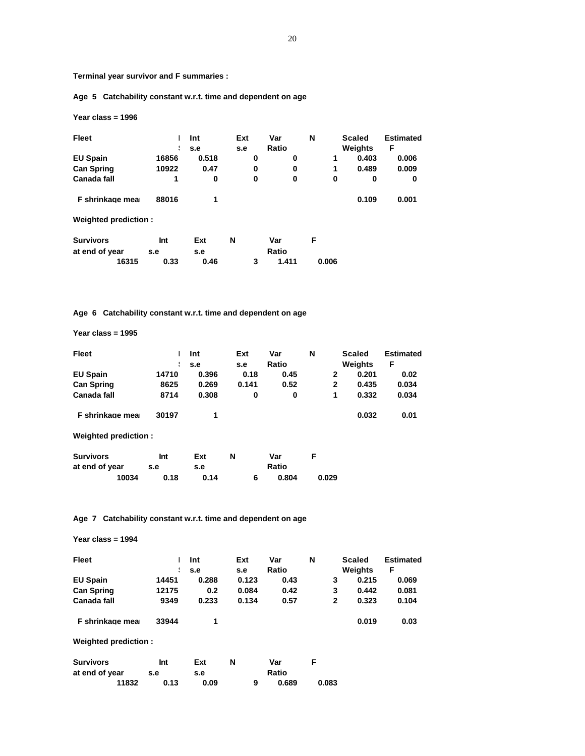**Terminal year survivor and F summaries :**

 **Age 5 Catchability constant w.r.t. time and dependent on age**

 **Year class = 1996**

| Fleet                |       | Int<br>s.e | Ext<br>s.e |   | Var<br>Ratio | N |       | <b>Scaled</b><br>Weights | <b>Estimated</b><br>F |
|----------------------|-------|------------|------------|---|--------------|---|-------|--------------------------|-----------------------|
| <b>EU Spain</b>      | 16856 | 0.518      |            | 0 | 0            |   | 1     | 0.403                    | 0.006                 |
| <b>Can Spring</b>    | 10922 | 0.47       |            | 0 | 0            |   | 1     | 0.489                    | 0.009                 |
| Canada fall          | 1     | 0          |            | 0 | 0            |   | 0     | 0                        | 0                     |
| F shrinkage mea      | 88016 | 1          |            |   |              |   |       | 0.109                    | 0.001                 |
| Weighted prediction: |       |            |            |   |              |   |       |                          |                       |
| <b>Survivors</b>     | Int   | Ext        | N          |   | Var          | F |       |                          |                       |
| at end of year       | s.e   | s.e        |            |   | Ratio        |   |       |                          |                       |
| 16315                | 0.33  | 0.46       |            | 3 | 1.411        |   | 0.006 |                          |                       |

# **Age 6 Catchability constant w.r.t. time and dependent on age**

 **Year class = 1995**

| Fleet                |       | Int   | Ext   | Var   | N |   | <b>Scaled</b> | <b>Estimated</b> |
|----------------------|-------|-------|-------|-------|---|---|---------------|------------------|
|                      |       | s.e   | s.e   | Ratio |   |   | Weights       | F                |
| <b>EU Spain</b>      | 14710 | 0.396 | 0.18  | 0.45  |   | 2 | 0.201         | 0.02             |
| <b>Can Spring</b>    | 8625  | 0.269 | 0.141 | 0.52  |   | 2 | 0.435         | 0.034            |
| Canada fall          | 8714  | 0.308 | 0     | 0     |   | 1 | 0.332         | 0.034            |
| F shrinkage mea      | 30197 | 1     |       |       |   |   | 0.032         | 0.01             |
| Weighted prediction: |       |       |       |       |   |   |               |                  |

| <b>Survivors</b> | Int  | Ext  |  | Var   |       |
|------------------|------|------|--|-------|-------|
| at end of year   | s.e  | s.e  |  | Ratio |       |
| 10034            | 0.18 | 0.14 |  | 0.804 | 0.029 |

# **Age 7 Catchability constant w.r.t. time and dependent on age**

 **Year class = 1994**

| Fleet              |       | Int   | Ext   | Var   | N |   | Scaled  | <b>Estimated</b> |
|--------------------|-------|-------|-------|-------|---|---|---------|------------------|
|                    |       | s.e   | s.e   | Ratio |   |   | Weights | F                |
| <b>EU Spain</b>    | 14451 | 0.288 | 0.123 | 0.43  |   | 3 | 0.215   | 0.069            |
| <b>Can Spring</b>  | 12175 | 0.2   | 0.084 | 0.42  |   | 3 | 0.442   | 0.081            |
| <b>Canada fall</b> | 9349  | 0.233 | 0.134 | 0.57  |   | 2 | 0.323   | 0.104            |
| F shrinkage mea    | 33944 |       |       |       |   |   | 0.019   | 0.03             |

 **Weighted prediction :**

| <b>Survivors</b> | Int  | Ext  | N |   | Var   |       |
|------------------|------|------|---|---|-------|-------|
| at end of year   | s.e  | s.e  |   |   | Ratio |       |
| 11832            | 0.13 | 0.09 |   | 9 | 0.689 | 0.083 |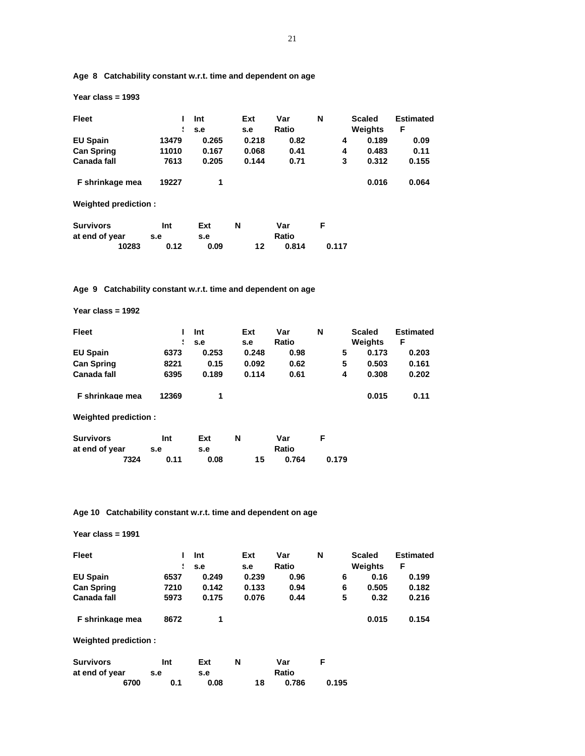| <b>Fleet</b>         |       | Int   | Ext   | Var   | N     | <b>Scaled</b> | <b>Estimated</b> |
|----------------------|-------|-------|-------|-------|-------|---------------|------------------|
|                      | ÷     | s.e   | s.e   | Ratio |       | Weights       | F                |
| <b>EU Spain</b>      | 13479 | 0.265 | 0.218 | 0.82  | 4     | 0.189         | 0.09             |
| <b>Can Spring</b>    | 11010 | 0.167 | 0.068 | 0.41  | 4     | 0.483         | 0.11             |
| Canada fall          | 7613  | 0.205 | 0.144 | 0.71  | 3     | 0.312         | 0.155            |
| F shrinkage mea      | 19227 | 1     |       |       |       | 0.016         | 0.064            |
| Weighted prediction: |       |       |       |       |       |               |                  |
| <b>Survivors</b>     | Int   | Ext   | N     | Var   | F     |               |                  |
| at end of year       | s.e   | s.e   |       | Ratio |       |               |                  |
| 10283                | 0.12  | 0.09  | 12    | 0.814 | 0.117 |               |                  |

 **Age 8 Catchability constant w.r.t. time and dependent on age**

 **Age 9 Catchability constant w.r.t. time and dependent on age**

 **Year class = 1992**

 **Year class = 1993**

| <b>Fleet</b>         |       | Int   | Ext   | Var   | N |   | <b>Scaled</b> | <b>Estimated</b> |
|----------------------|-------|-------|-------|-------|---|---|---------------|------------------|
|                      | Н     | s.e   | s.e   | Ratio |   |   | Weights       | F                |
| <b>EU Spain</b>      | 6373  | 0.253 | 0.248 | 0.98  |   | 5 | 0.173         | 0.203            |
| <b>Can Spring</b>    | 8221  | 0.15  | 0.092 | 0.62  |   | 5 | 0.503         | 0.161            |
| <b>Canada fall</b>   | 6395  | 0.189 | 0.114 | 0.61  |   | 4 | 0.308         | 0.202            |
| F shrinkage mea      | 12369 | 1     |       |       |   |   | 0.015         | 0.11             |
| Weighted prediction: |       |       |       |       |   |   |               |                  |
| Survivore            | Int   | Fvt   | N     | Var   | F |   |               |                  |

| <b>SUIVIVOIS</b> | m    | EXT  | IV. | var   |       |
|------------------|------|------|-----|-------|-------|
| at end of year   | s.e  | s.e  |     | Ratio |       |
| 7324             | 0.11 | 0.08 | 15  | 0.764 | 0.179 |

 **Age 10 Catchability constant w.r.t. time and dependent on age**

 **Year class = 1991**

| <b>Fleet</b>         | Н    | Int<br>s.e | Ext<br>s.e | Var<br>Ratio | N | <b>Scaled</b><br>Weights | <b>Estimated</b><br>F |
|----------------------|------|------------|------------|--------------|---|--------------------------|-----------------------|
| <b>EU Spain</b>      | 6537 | 0.249      | 0.239      | 0.96         | 6 | 0.16                     | 0.199                 |
| <b>Can Spring</b>    | 7210 | 0.142      | 0.133      | 0.94         | 6 | 0.505                    | 0.182                 |
| Canada fall          | 5973 | 0.175      | 0.076      | 0.44         | 5 | 0.32                     | 0.216                 |
| F shrinkage mea      | 8672 | 1          |            |              |   | 0.015                    | 0.154                 |
| Weighted prediction: |      |            |            |              |   |                          |                       |

| <b>Survivors</b> | Int | Ext  | N |    | Var   |       |
|------------------|-----|------|---|----|-------|-------|
| at end of year   | s.e | s.e  |   |    | Ratio |       |
| 6700             | 0.1 | 0.08 |   | 18 | 0.786 | 0.195 |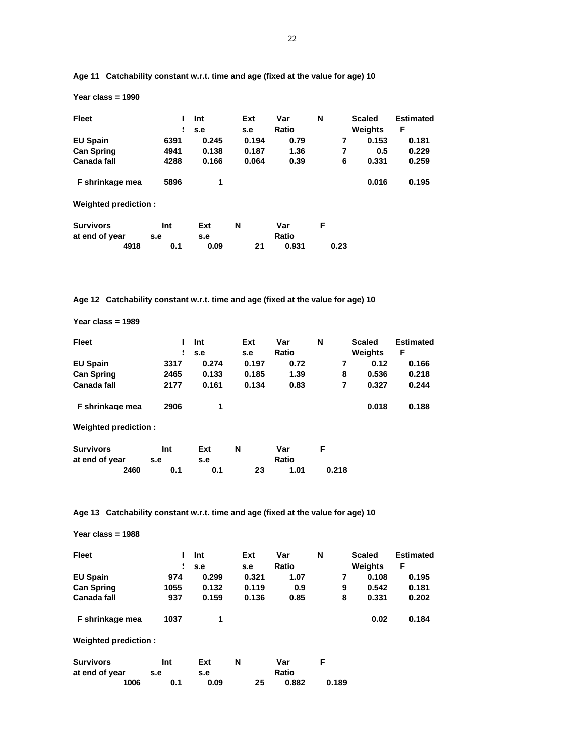| <b>Fleet</b>         | ÷    | Int<br>s.e | Ext<br>s.e | Var<br>Ratio | N |      | <b>Scaled</b><br>Weights | <b>Estimated</b><br>F |
|----------------------|------|------------|------------|--------------|---|------|--------------------------|-----------------------|
| <b>EU Spain</b>      | 6391 | 0.245      | 0.194      | 0.79         |   | 7    | 0.153                    | 0.181                 |
| <b>Can Spring</b>    | 4941 | 0.138      | 0.187      | 1.36         |   | 7    | 0.5                      | 0.229                 |
| Canada fall          | 4288 | 0.166      | 0.064      | 0.39         |   | 6    | 0.331                    | 0.259                 |
| F shrinkage mea      | 5896 | 1          |            |              |   |      | 0.016                    | 0.195                 |
| Weighted prediction: |      |            |            |              |   |      |                          |                       |
| <b>Survivors</b>     | Int  | Ext        | N          | Var          | F |      |                          |                       |
| at end of year       | s.e  | s.e        |            | Ratio        |   |      |                          |                       |
| 4918                 | 0.1  | 0.09       | 21         | 0.931        |   | 0.23 |                          |                       |

 **Age 11 Catchability constant w.r.t. time and age (fixed at the value for age) 10**

 **Age 12 Catchability constant w.r.t. time and age (fixed at the value for age) 10**

 **Year class = 1989**

 **Year class = 1990**

| <b>Fleet</b>         |      | Int   | Ext   | Var   | N     | <b>Scaled</b> | <b>Estimated</b> |
|----------------------|------|-------|-------|-------|-------|---------------|------------------|
|                      | ÷    | s.e   | s.e   | Ratio |       | Weights       | F                |
| <b>EU Spain</b>      | 3317 | 0.274 | 0.197 | 0.72  | 7     | 0.12          | 0.166            |
| <b>Can Spring</b>    | 2465 | 0.133 | 0.185 | 1.39  | 8     | 0.536         | 0.218            |
| <b>Canada fall</b>   | 2177 | 0.161 | 0.134 | 0.83  | 7     | 0.327         | 0.244            |
| F shrinkage mea      | 2906 | 1     |       |       |       | 0.018         | 0.188            |
| Weighted prediction: |      |       |       |       |       |               |                  |
| <b>Survivors</b>     | Int  | Ext   | N     | Var   | F     |               |                  |
| at end of year       | s.e  | s.e   |       | Ratio |       |               |                  |
| 2460                 | 0.1  | 0.1   | 23    | 1.01  | 0.218 |               |                  |

 **Age 13 Catchability constant w.r.t. time and age (fixed at the value for age) 10**

| Year class = $1988$  |      |            |            |              |       |                          |                       |
|----------------------|------|------------|------------|--------------|-------|--------------------------|-----------------------|
| <b>Fleet</b>         | ÷    | Int<br>s.e | Ext<br>s.e | Var<br>Ratio | N     | <b>Scaled</b><br>Weights | <b>Estimated</b><br>F |
| <b>EU Spain</b>      | 974  | 0.299      | 0.321      | 1.07         | 7     | 0.108                    | 0.195                 |
| <b>Can Spring</b>    | 1055 | 0.132      | 0.119      | 0.9          | 9     | 0.542                    | 0.181                 |
| <b>Canada fall</b>   | 937  | 0.159      | 0.136      | 0.85         | 8     | 0.331                    | 0.202                 |
| F shrinkage mea      | 1037 | 1          |            |              |       | 0.02                     | 0.184                 |
| Weighted prediction: |      |            |            |              |       |                          |                       |
| <b>Survivors</b>     | Int  | Ext        | N          | Var          | F     |                          |                       |
| at end of year       | s.e  | s.e        |            | Ratio        |       |                          |                       |
| 1006                 | 0.1  | 0.09       | 25         | 0.882        | 0.189 |                          |                       |